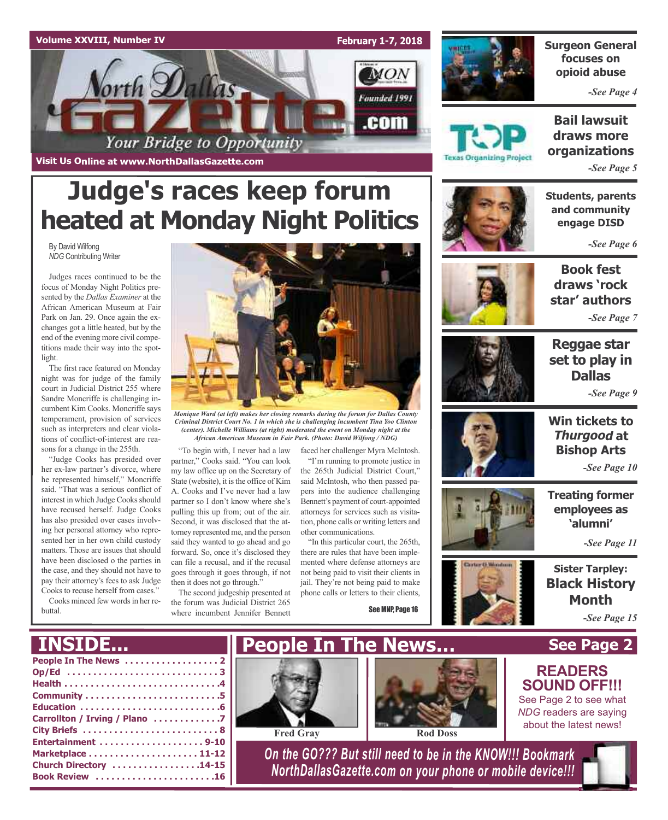



### **Surgeon General focuses on opioid abuse**

*-See Page 4*

**Bail lawsuit draws more organizations**

*-See Page 5*

**Visit Us Online at www.NorthDallasGazette.com**

# **Judge's races keep forum heated at Monday Night Politics**

By David Wilfong *NDG* Contributing Writer

Judges races continued to be the focus of Monday Night Politics presented by the *Dallas Examiner* at the African American Museum at Fair Park on Jan. 29. Once again the exchanges got a little heated, but by the end of the evening more civil competitions made their way into the spotlight.

The first race featured on Monday night was for judge of the family court in Judicial District 255 where Sandre Moncriffe is challenging incumbent Kim Cooks. Moncriffe says temperament, provision of services such as interpreters and clear violations of conflict-of-interest are reasons for a change in the 255th.

"Judge Cooks has presided over her ex-law partner's divorce, where he represented himself," Moncriffe said. "That was a serious conflict of interest in which Judge Cooks should have recused herself. Judge Cooks has also presided over cases involving her personal attorney who represented her in her own child custody matters. Those are issues that should have been disclosed o the parties in the case, and they should not have to pay their attorney's fees to ask Judge Cooks to recuse herself from cases." Cooks minced few words in her re-

buttal.



*Monique Ward (at left) makes her closing remarks during the forum for Dallas County Criminal District Court No. 1 in which she is challenging incumbent Tina Yoo Clinton (center). Michelle Williams (at right) moderated the event on Monday night at the African American Museum in Fair Park. (Photo: David Wilfong / NDG)*

"To begin with, I never had a law partner," Cooks said. "You can look my law office up on the Secretary of State (website), it is the office of Kim A. Cooks and I've never had a law partner so I don't know where she's pulling this up from; out of the air. Second, it was disclosed that the attorney represented me, and the person said they wanted to go ahead and go forward. So, once it's disclosed they can file a recusal, and if the recusal goes through it goes through, if not then it does not go through."

The second judgeship presented at the forum was Judicial District 265 where incumbent Jennifer Bennett

faced her challenger Myra McIntosh.

"I'm running to promote justice in the 265th Judicial District Court," said McIntosh, who then passed papers into the audience challenging Bennett's payment of court-appointed attorneys for services such as visitation, phone calls or writing letters and other communications.

"In this particular court, the 265th, there are rules that have been implemented where defense attorneys are not being paid to visit their clients in jail. They're not being paid to make phone calls or letters to their clients,

See MNP, Page 16



**Texas Organizing Project** 

**Students, parents and community engage DISD**

*-See Page 6*



**Book fest draws 'rock star' authors**

*-See Page 7*



**Reggae star set to play in Dallas** *-See Page 9*



**Win tickets to Thurgood at Bishop Arts**

*-See Page 10*

**Treating former employees as 'alumni'**

*-See Page 11*

**Sister Tarpley: Black History Month** *-See Page 15*

**See Page 2**

**READERS SOUND OFF!!!** See Page 2 to see what *NDG* readers are saying about the latest news!

### **People In The News . . . . . . . . . . . . . . . . . . 2 INSIDE...**

| Carrollton / Irving / Plano 7 |
|-------------------------------|
|                               |
|                               |
|                               |
| Church Directory 14-15        |
| Book Review 16                |
|                               |







*On the GO??? But still need to be in the KNOW!!! Bookmark NorthDallasGazette.com on your phone or mobile device!!!*





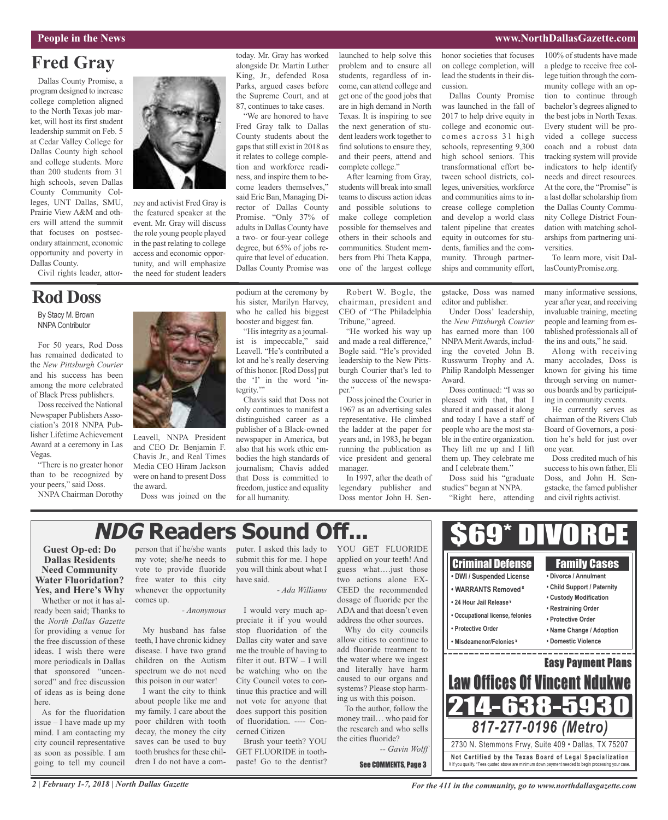#### **People in the News www.NorthDallasGazette.com**

### **Fred Gray**

Dallas County Promise, a program designed to increase college completion aligned to the North Texas job market, will host its first student leadership summit on Feb. 5 at Cedar Valley College for Dallas County high school and college students. More than 200 students from 31 high schools, seven Dallas County Community Colleges, UNT Dallas, SMU, Prairie View A&M and others will attend the summit that focuses on postsecondary attainment, economic opportunity and poverty in Dallas County.

Civil rights leader, attor-

### **Rod Doss**

By Stacy M. Brown NNPA Contributor

For 50 years, Rod Doss has remained dedicated to the *New Pittsburgh Courier* and his success has been among the more celebrated of Black Press publishers.

Doss received the National Newspaper Publishers Association's 2018 NNPA Publisher Lifetime Achievement Award at a ceremony in Las Vegas.

"There is no greater honor than to be recognized by your peers," said Doss.

NNPA Chairman Dorothy



ney and activist Fred Gray is the featured speaker at the event. Mr. Gray will discuss the role young people played in the past relating to college access and economic opportunity, and will emphasize the need for student leaders

today. Mr. Gray has worked alongside Dr. Martin Luther King, Jr., defended Rosa Parks, argued cases before the Supreme Court, and at 87, continues to take cases.

"We are honored to have Fred Gray talk to Dallas County students about the gaps that still exist in 2018 as it relates to college completion and workforce readiness, and inspire them to become leaders themselves," said Eric Ban, Managing Director of Dallas County Promise. "Only 37% of adults in Dallas County have a two- or four-year college degree, but 65% of jobs require that level of education. Dallas County Promise was

podium at the ceremony by his sister, Marilyn Harvey,

"Hisintegrity as a journal-

Chavis said that Doss not

newspaper in America, but also that his work ethic embodies the high standards of journalism; Chavis added that Doss is committed to freedom, justice and equality

for all humanity.

launched to help solve this problem and to ensure all students, regardless of income, can attend college and get one of the good jobs that are in high demand in North Texas. It is inspiring to see the next generation of student leaders work together to find solutions to ensure they, and their peers, attend and complete college."

After learning from Gray, students will break into small teams to discuss action ideas and possible solutions to make college completion possible for themselves and others in their schools and communities. Student members from Phi Theta Kappa, one of the largest college

Robert W. Bogle, the chairman, president and CEO of "The Philadelphia Tribune," agreed.

"He worked his way up and made a real difference," Bogle said. "He's provided leadership to the New Pittsburgh Courier that's led to the success of the newspaper."

Doss joined the Courier in 1967 as an advertising sales representative. He climbed the ladder at the paper for years and, in 1983, he began running the publication as vice president and general manager.

In 1997, after the death of legendary publisher and Doss mentor John H. Senhonor societies that focuses on college completion, will lead the students in their discussion.

Dallas County Promise was launched in the fall of 2017 to help drive equity in college and economic outcomes across 31 high schools, representing 9,300 high school seniors. This transformational effort between school districts, colleges, universities, workforce and communities aims to increase college completion and develop a world class talent pipeline that creates equity in outcomes for students, families and the community. Through partnerships and community effort,

gstacke, Doss was named editor and publisher.

Under Doss' leadership, the *New Pittsburgh Courier* has earned more than 100 NNPAMeritAwards, including the coveted John B. Russwurm Trophy and A. Philip Randolph Messenger

Doss continued: "I was so pleased with that, that I shared it and passed it along and today I have a staff of people who are the most stable in the entire organization. They lift me up and I lift them up. They celebrate me and I celebrate them."

Doss said his "graduate studies" began at NNPA. "Right here, attending

Award.

100% of students have made a pledge to receive free college tuition through the community college with an option to continue through bachelor's degrees aligned to the best jobs in North Texas. Every student will be provided a college success coach and a robust data tracking system will provide indicators to help identify needs and direct resources. At the core, the "Promise" is a last dollar scholarship from the Dallas County Community College District Foundation with matching scholarships from partnering universities.

To learn more, visit DallasCountyPromise.org.

many informative sessions, year after year, and receiving invaluable training, meeting people and learning from established professionals all of the ins and outs," he said.

Along with receiving many accolades, Doss is known for giving his time through serving on numerous boards and by participating in community events.

He currently serves as chairman of the Rivers Club Board of Governors, a position he's held for just over one year.

Doss credited much of his successto his own father, Eli Doss, and John H. Sengstacke, the famed publisher and civil rights activist.

## **NDG Readers Sound Off...**

#### **Guest Op-ed: Do Dallas Residents Need Community Water Fluoridation? Yes, and Here's Why**

Whether or not it has already been said; Thanks to the *North Dallas Gazette* for providing a venue for the free discussion of these ideas. I wish there were more periodicals in Dallas that sponsored "uncensored" and free discussion of ideas as is being done here.

As for the fluoridation issue – I have made up my mind. I am contacting my city council representative as soon as possible. I am going to tell my council

person that if he/she wants my vote; she/he needs to vote to provide fluoride free water to this city whenever the opportunity comes up.

*- Anonymous*

My husband has false teeth, I have chronic kidney disease. I have two grand children on the Autism spectrum we do not need this poison in our water!

I want the city to think about people like me and my family. I care about the poor children with tooth decay, the money the city saves can be used to buy tooth brushes for these children I do not have a computer. I asked this lady to submit this for me. I hope you will think about what I have said.

#### *- Ada Williams*

I would very much appreciate it if you would stop fluoridation of the Dallas city water and save me the trouble of having to filter it out. BTW – I will be watching who on the City Council votes to continue this practice and will not vote for anyone that does support this position of fluoridation. ---- Concerned Citizen

Brush your teeth? YOU GET FLUORIDE in toothpaste! Go to the dentist? YOU GET FLUORIDE applied on your teeth! And guess what….just those two actions alone EX-CEED the recommended dosage of fluoride per the ADA and that doesn't even address the other sources.

Why do city councils allow cities to continue to add fluoride treatment to the water where we ingest and literally have harm caused to our organs and systems? Please stop harming us with this poison.

To the author, follow the money trail… who paid for the research and who sells the cities fluoride?

*-- Gavin Wolff*

See COMMENTS, Page 3

\$69\* DIVORCE Criminal Defense Family Cases **• DWI / Suspended License • Divorce / Annulment • Child Support / Paternity • WARRANTS Removed ¥ • Custody Modification • 24 Hour Jail Release ¥ • Restraining Order • Occupational license, felonies • Protective Order • Protective Order • Name Change / Adoption • Misdeamenor/Felonies ¥ • Domestic Violence** ------------Easy Payment Plans **Law Offices Of Vincent Ndul** 214-638-5 *817-277-0196 (Metro)* 2730 N. Stemmons Frwy, Suite 409 • Dallas, TX 75207 **Not Ce rtified by the Te x a s Boa rd of Lega l Spe c ia l i za tion** ¥ If you qualify. \*Fees quoted above are minimum down payment needed to begin processing your case.

*2 | February 1-7, 2018 | North Dallas Gazette*

who he called his biggest booster and biggest fan. ist is impeccable," said Leavell. "He's contributed a lot and he's really deserving of this honor. [Rod Doss] put the 'I' in the word 'integrity." only continues to manifest a distinguished career as a publisher of a Black-owned

Leavell, NNPA President and CEO Dr. Benjamin F. Chavis Jr., and Real Times Media CEO Hiram Jackson were on hand to present Doss the award. Doss was joined on the

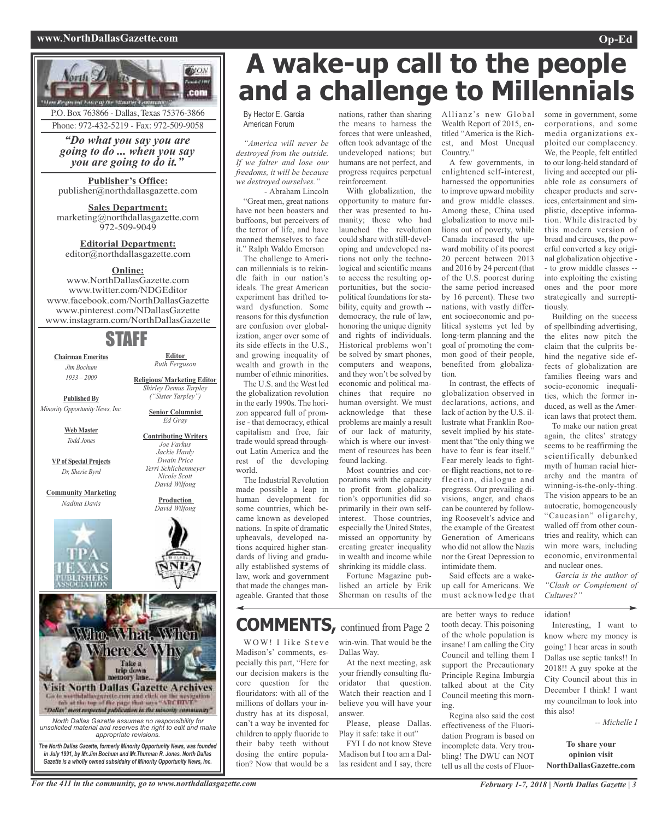### **www.NorthDallasGazette.com Op-Ed**



P.O. Box 763866 - Dallas, Texas 75376-3866 Phone: 972-432-5219 - Fax: 972-509-9058

*"Do what you say you are going to do ... when you say you are going to do it."*

**Publisher's Office:** publisher@northdallasgazette.com

**Sales Department:** marketing@northdallasgazette.com 972-509-9049

**Editorial Department:** editor@northdallasgazette.com

### **Online:**

www.NorthDallasGazette.com www.twitter.com/NDGEditor www.facebook.com/NorthDallasGazette www.pinterest.com/NDallasGazette www.instagram.com/NorthDallasGazette

### STAFF

**Chairman Emeritus** *Jim Bochum 1933 – 2009*

**Editor** *Ruth Ferguson*

**Published By** *Minority Opportunity News, Inc.*

> **Web Master** *Todd Jones*

**VPof Special Projects** *Dr, Sherie Byrd*

**Community Marketing** *Nadina Davis*





*Gazette is a wholly owned subsidairy of Minority Opportunity News, Inc.*

*in July 1991, by Mr.Jim Bochum and Mr.Thurman R. Jones. North Dallas*

*Shirley Demus Tarpley*

**Senior Columnist** *Ed Gray*

#### **Contributing Writers** *Joe Farkus Jackie Hardy Dwain Price Terri Schlichenmeyer Nicole Scott*

**Religious/ Marketing Editor** *("Sister Tarpley")*



nations, rather than sharing the means to harness the forces that were unleashed, often took advantage of the undeveloped nations; but humans are not perfect, and progress requires perpetual

With globalization, the opportunity to mature further was presented to humanity; those who had launched the revolution could share with still-developing and undeveloped nations not only the technological and scientific means to access the resulting opportunities, but the sociopolitical foundations for stability, equity and growth - democracy, the rule of law, honoring the unique dignity and rights of individuals. Historical problems won't be solved by smart phones, computers and weapons, and they won't be solved by economic and political machines that require no human oversight. We must acknowledge that these problems are mainly a result of our lack of maturity, which is where our investment of resources has been

reinforcement.

found lacking.

Most countries and corporations with the capacity to profit from globalization's opportunities did so primarily in their own selfinterest. Those countries, especially the United States, missed an opportunity by creating greater inequality in wealth and income while shrinking its middle class. Fortune Magazine published an article by Erik Sherman on results of the

By Hector E. Garcia American Forum

*"America will never be destroyed from the outside. If we falter and lose our freedoms, it will be because we destroyed ourselves."*

*-* Abraham Lincoln "Great men, great nations have not been boasters and buffoons, but perceivers of the terror of life, and have manned themselves to face it." Ralph Waldo Emerson

The challenge to American millennials is to rekindle faith in our nation's ideals. The great American experiment has drifted toward dysfunction. Some reasons for this dysfunction are confusion over globalization, anger over some of its side effects in the U.S., and growing inequality of wealth and growth in the number of ethnic minorities.

The U.S. and the West led the globalization revolution in the early 1990s. The horizon appeared full of promise - that democracy, ethical capitalism and free, fair trade would spread throughout Latin America and the rest of the developing world.

The Industrial Revolution made possible a leap in human development for some countries, which became known as developed nations. In spite of dramatic upheavals, developed nations acquired higher standards of living and gradually established systems of law, work and government that made the changes manageable. Granted that those

### **COMMENTS,** continued from Page <sup>2</sup>

Madison's' comments, especially this part, "Here for our decision makers is the core question for the flouridators: with all of the millions of dollars your industry has at its disposal, can't a way be invented for children to apply fluoride to their baby teeth without dosing the entire population? Now that would be a

WOW! I like Steve win-win. That would be the Dallas Way.

At the next meeting, ask your friendly consulting fluoridator that question. Watch their reaction and I believe you will have your answer.

Please, please Dallas. Play it safe: take it out"

FYI I do not know Steve Madison but I too am a Dallas resident and I say, there

Allianz's new Global Wealth Report of 2015, entitled "America is the Richest, and Most Unequal Country.'

A few governments, in enlightened self-interest, harnessed the opportunities to improve upward mobility and grow middle classes. Among these, China used globalization to move millions out of poverty, while Canada increased the upward mobility of its poorest 20 percent between 2013 and 2016 by 24 percent (that of the U.S. poorest during the same period increased by 16 percent). These two nations, with vastly different socioeconomic and political systems yet led by long-term planning and the goal of promoting the common good of their people, benefited from globalization.

In contrast, the effects of globalization observed in declarations, actions, and lack of action by the U.S. illustrate what Franklin Roosevelt implied by his statement that "the only thing we have to fear is fear itself." Fear merely leads to fightor-flight reactions, not to reflection, dialogue and progress. Our prevailing divisions, anger, and chaos can be countered by following Roosevelt's advice and the example of the Greatest Generation of Americans who did not allow the Nazis nor the Great Depression to intimidate them.

Said effects are a wakeup call for Americans. We must acknowledge that

are better ways to reduce tooth decay. This poisoning of the whole population is insane! I am calling the City Council and telling them I support the Precautionary Principle Regina Imburgia talked about at the City Council meeting this morning.

Regina also said the cost effectiveness of the Fluoridation Program is based on incomplete data. Very troubling! The DWU can NOT tell us all the costs of Fluorsome in government, some corporations, and some media organizations exploited our complacency. We, the People, felt entitled to our long-held standard of living and accepted our pliable role as consumers of cheaper products and services, entertainment and simplistic, deceptive information. While distracted by this modern version of bread and circuses, the powerful converted a key original globalization objective - - to grow middle classes - into exploiting the existing ones and the poor more strategically and surrepti-

tiously. Building on the success of spellbinding advertising, the elites now pitch the claim that the culprits behind the negative side effects of globalization are families fleeing wars and socio-economic inequalities, which the former induced, as well as the American laws that protect them.

To make our nation great again, the elites' strategy seems to be reaffirming the scientifically debunked myth of human racial hierarchy and the mantra of winning-is-the-only-thing. The vision appears to be an autocratic, homogeneously "Caucasian" oligarchy, walled off from other countries and reality, which can win more wars, including economic, environmental and nuclear ones.

*Garcia is the author of "Clash or Complement of Cultures?"*

idation!

Interesting, I want to know where my money is going! I hear areas in south Dallas use septic tanks!! In 2018!! A guy spoke at the City Council about this in December I think! I want my councilman to look into this also!

*-- Michelle I*

**To share your opinion visit NorthDallasGazette.com**

*David Wilfong* **Production** *David Wilfong*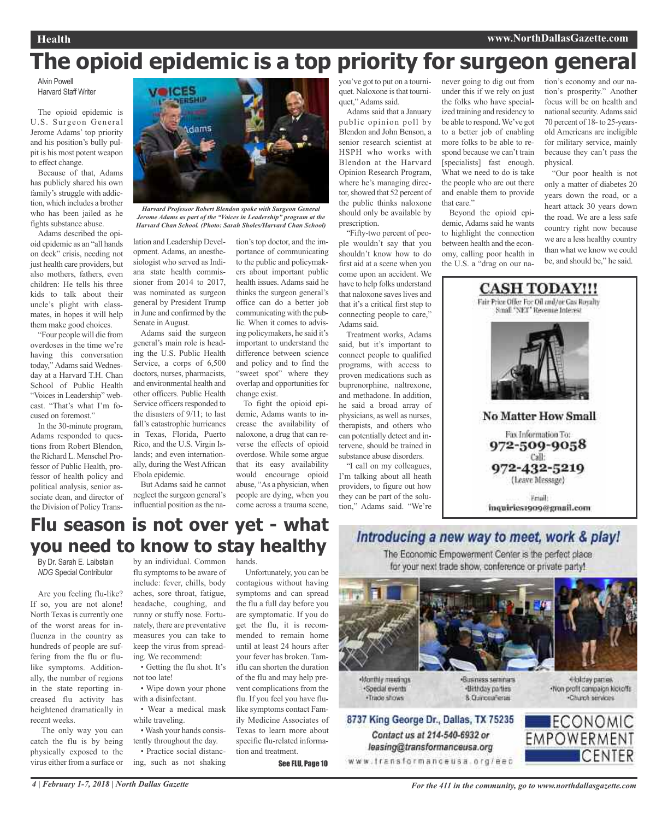# **The opioid epidemic is a top priority for surgeon general**

Alvin Powell Harvard Staff Writer

The opioid epidemic is U.S. Surgeon General Jerome Adams' top priority and his position's bully pulpit is his most potent weapon to effect change.

Because of that, Adams has publicly shared his own family's struggle with addiction, which includes a brother who has been jailed as he fights substance abuse.

Adams described the opioid epidemic as an "all hands on deck" crisis, needing not just health care providers, but also mothers, fathers, even children: He tells his three kids to talk about their uncle's plight with classmates, in hopes it will help them make good choices.

"Four people will die from overdoses in the time we're having this conversation today," Adams said Wednesday at a Harvard T.H. Chan School of Public Health "Voices in Leadership" webcast. "That's what I'm focused on foremost.'

In the 30-minute program, Adams responded to questions from Robert Blendon, the Richard L. Menschel Professor of Public Health, professor of health policy and political analysis, senior associate dean, and director of the Division of Policy Trans-



*Harvard Professor Robert Blendon spoke with Surgeon General Jerome Adams as part of the "Voices in Leadership" program at the Harvard Chan School. (Photo: Sarah Sholes/Harvard Chan School)*

lation and Leadership Development. Adams, an anesthesiologist who served as Indiana state health commissioner from 2014 to 2017, was nominated as surgeon general by President Trump in June and confirmed by the Senate in August.

Adams said the surgeon general's main role is heading the U.S. Public Health Service, a corps of 6,500 doctors, nurses, pharmacists, and environmental health and other officers. Public Health Service officers responded to the disasters of 9/11; to last fall's catastrophic hurricanes in Texas, Florida, Puerto Rico, and the U.S. Virgin Islands; and even internationally, during the West African Ebola epidemic.

But Adams said he cannot neglect the surgeon general's influential position as the nation's top doctor, and the importance of communicating to the public and policymakers about important public health issues. Adams said he thinks the surgeon general's office can do a better job communicating with the public. When it comes to advising policymakers, he said it's important to understand the difference between science and policy and to find the "sweet spot" where they overlap and opportunities for change exist.

To fight the opioid epidemic, Adams wants to increase the availability of naloxone, a drug that can reverse the effects of opioid overdose. While some argue that its easy availability would encourage opioid abuse, "As a physician, when people are dying, when you come across a trauma scene,

you've got to put on a tourniquet. Naloxone is that tourniquet," Adams said.

Adams said that a January public opinion poll by Blendon and John Benson, a senior research scientist at HSPH who works with Blendon at the Harvard Opinion Research Program, where he's managing director, showed that 52 percent of the public thinks naloxone should only be available by prescription.

"Fifty-two percent of people wouldn't say that you shouldn't know how to do first aid at a scene when you come upon an accident. We have to help folks understand that naloxone saves lives and that it's a critical first step to connecting people to care," Adams said.

Treatment works, Adams said, but it's important to connect people to qualified programs, with access to proven medications such as buprenorphine, naltrexone, and methadone. In addition, he said a broad array of physicians, as well as nurses, therapists, and others who can potentially detect and intervene, should be trained in substance abuse disorders.

"I call on my colleagues, I'm talking about all heath providers, to figure out how they can be part of the solution," Adams said. "We're never going to dig out from under this if we rely on just the folks who have specialized training and residency to be able to respond.We've got to a better job of enabling more folks to be able to respond because we can't train [specialists] fast enough. What we need to do is take the people who are out there and enable them to provide that care."

Beyond the opioid epidemic, Adams said he wants to highlight the connection between health and the economy, calling poor health in the U.S. a "drag on our na-

tion's economy and our nation's prosperity." Another focus will be on health and national security. Adams said 70 percent of 18- to 25-yearsold Americans are ineligible for military service, mainly because they can't pass the physical.

"Our poor health is not only a matter of diabetes 20 years down the road, or a heart attack 30 years down the road. We are a less safe country right now because we are a less healthy country than what we know we could be, and should be," he said.



### **Flu season is not over yet - what you need to know to stay healthy**

By Dr. Sarah E. Laibstain *NDG* Special Contributor

Are you feeling flu-like? If so, you are not alone! North Texas is currently one of the worst areas for influenza in the country as hundreds of people are suffering from the flu or flulike symptoms. Additionally, the number of regions in the state reporting increased flu activity has heightened dramatically in recent weeks.

The only way you can catch the flu is by being physically exposed to the virus either from a surface or

by an individual. Common hands. flu symptoms to be aware of include: fever, chills, body aches, sore throat, fatigue, headache, coughing, and runny or stuffy nose. Fortunately, there are preventative measures you can take to keep the virus from spreading. We recommend:

• Getting the flu shot. It's not too late!

• Wipe down your phone with a disinfectant.

• Wear a medical mask while traveling.

• Wash your hands consistently throughout the day. • Practice social distanc-

ing, such as not shaking

Unfortunately, you can be contagious without having symptoms and can spread the flu a full day before you are symptomatic. If you do get the flu, it is recommended to remain home until at least 24 hours after your fever has broken. Tamiflu can shorten the duration of the flu and may help prevent complications from the flu. If you feel you have flulike symptoms contact Family Medicine Associates of Texas to learn more about specific flu-related information and treatment.

See FLU, Page 10





Contact us at 214-540-6932 or

leasing@transformanceusa.org

Monthly meetings ·Special events · Trade shows

«Business sectorum». ·Birthday parties 8. Curiceaferas

Holday parties. -Non-profit campaign kickoffs -Church services

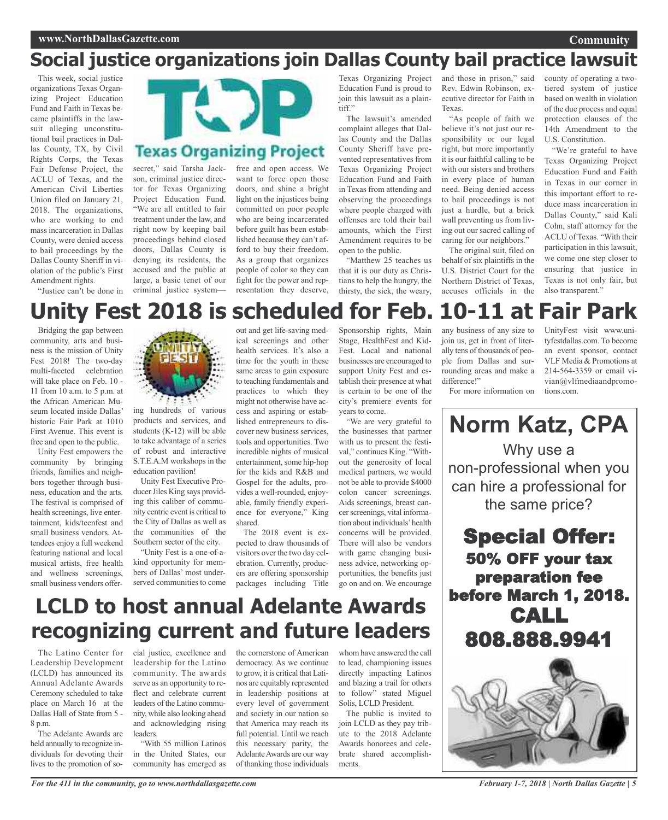## **Social justice organizations join Dallas County bail practice lawsuit**

This week, social justice organizations Texas Organizing Project Education Fund and Faith in Texas became plaintiffs in the lawsuit alleging unconstitutional bail practices in Dallas County, TX, by Civil Rights Corps, the Texas Fair Defense Project, the ACLU of Texas, and the American Civil Liberties Union filed on January 21, 2018. The organizations, who are working to end mass incarceration in Dallas County, were denied access to bail proceedings by the Dallas County Sheriff in violation of the public's First Amendment rights. "Justice can't be done in

secret," said Tarsha Jackson, criminal justice director for Texas Organizing Project Education Fund. "We are all entitled to fair treatment under the law, and right now by keeping bail proceedings behind closed doors, Dallas County is denying its residents, the accused and the public at large, a basic tenet of our criminal justice system—

**Texas Organizing Project** free and open access. We want to force open those doors, and shine a bright light on the injustices being committed on poor people who are being incarcerated before guilt has been established because they can't afford to buy their freedom.

As a group that organizes people of color so they can fight for the power and representation they deserve,

Texas Organizing Project Education Fund is proud to join this lawsuit as a plain $t$ iff"

The lawsuit's amended complaint alleges that Dallas County and the Dallas County Sheriff have prevented representatives from Texas Organizing Project Education Fund and Faith in Texas from attending and observing the proceedings where people charged with offenses are told their bail amounts, which the First Amendment requires to be open to the public.

"Matthew 25 teaches us that it is our duty as Christians to help the hungry, the thirsty, the sick, the weary,

and those in prison," said Rev. Edwin Robinson, executive director for Faith in Texas.

> "As people of faith we believe it's not just our responsibility or our legal right, but more importantly it is our faithful calling to be with our sisters and brothers in every place of human need. Being denied access to bail proceedings is not just a hurdle, but a brick wall preventing us from living out our sacred calling of caring for our neighbors."

> The original suit, filed on behalf of six plaintiffs in the U.S. District Court for the Northern District of Texas, accuses officials in the

county of operating a twotiered system of justice based on wealth in violation of the due process and equal protection clauses of the 14th Amendment to the U.S. Constitution.

**Community**

"We're grateful to have Texas Organizing Project Education Fund and Faith in Texas in our corner in this important effort to reduce mass incarceration in Dallas County," said Kali Cohn, staff attorney for the ACLU of Texas. "With their participation in this lawsuit, we come one step closer to ensuring that justice in Texas is not only fair, but also transparent."

# **Unity Fest 2018 is scheduled for Feb. 10-11 at Fair Park**

Bridging the gap between community, arts and business is the mission of Unity Fest 2018! The two-day multi-faceted celebration will take place on Feb. 10 - 11 from 10 a.m. to 5 p.m. at the African American Museum located inside Dallas' historic Fair Park at 1010 First Avenue. This event is free and open to the public.

Unity Fest empowers the community by bringing friends, families and neighbors together through business, education and the arts. The festival is comprised of health screenings, live entertainment, kids/teenfest and small business vendors. Attendees enjoy a full weekend featuring national and local musical artists, free health and wellness screenings, small business vendors offer-



ing hundreds of various products and services, and students (K-12) will be able to take advantage of a series of robust and interactive S.T.E.A.M workshops in the education pavilion!

Unity Fest Executive Producer Jiles King says providing this caliber of community centric event is critical to the City of Dallas as well as the communities of the Southern sector of the city.

"Unity Fest is a one-of-akind opportunity for members of Dallas' most underserved communities to come out and get life-saving medical screenings and other health services. It's also a time for the youth in these same areas to gain exposure to teaching fundamentals and practices to which they might not otherwise have access and aspiring or established entrepreneurs to discover new business services, tools and opportunities. Two incredible nights of musical entertainment, some hip-hop for the kids and R&B and Gospel for the adults, provides a well-rounded, enjoyable, family friendly experience for everyone," King shared.

The 2018 event is expected to draw thousands of visitors over the two day celebration. Currently, producers are offering sponsorship packages including Title

Sponsorship rights, Main Stage, HealthFest and Kid-Fest. Local and national businesses are encouraged to support Unity Fest and establish their presence at what is certain to be one of the city's premiere events for years to come.

"We are very grateful to the businesses that partner with us to present the festival," continues King. "Without the generosity of local medical partners, we would not be able to provide \$4000 colon cancer screenings. Aids screenings, breast cancer screenings, vital information about individuals'health concerns will be provided. There will also be vendors with game changing business advice, networking opportunities, the benefits just go on and on. We encourage

any business of any size to join us, get in front of literally tens of thousands of people from Dallas and surrounding areas and make a difference!"

UnityFest visit www.unityfestdallas.com. To become an event sponsor, contact VLF Media & Promotions at 214-564-3359 or email vivian@vlfmediaandpromotions.com.

For more information on

**Norm Katz, CPA** Why use a non-professional when you can hire a professional for the same price? Special Offer: 50% OFF your tax preparation fee

before March 1, 2018. CALL

808.888.9941



# **LCLD to host annual Adelante Awards recognizing current and future leaders**

The Latino Center for Leadership Development (LCLD) has announced its Annual Adelante Awards Ceremony scheduled to take place on March 16 at the Dallas Hall of State from 5 - 8 p.m.

The Adelante Awards are held annually to recognize individuals for devoting their lives to the promotion of social justice, excellence and leadership for the Latino community. The awards serve as an opportunity to reflect and celebrate current leaders of the Latino community, while also looking ahead and acknowledging rising leaders.

"With 55 million Latinos in the United States, our community has emerged as the cornerstone of American democracy. As we continue to grow, it is critical that Latinos are equitably represented in leadership positions at every level of government and society in our nation so that America may reach its full potential. Until we reach this necessary parity, the Adelante Awards are our way of thanking those individuals

whom have answered the call to lead, championing issues directly impacting Latinos and blazing a trail for others to follow" stated Miguel Solis, LCLD President.

The public is invited to join LCLD as they pay tribute to the 2018 Adelante Awards honorees and celebrate shared accomplishments.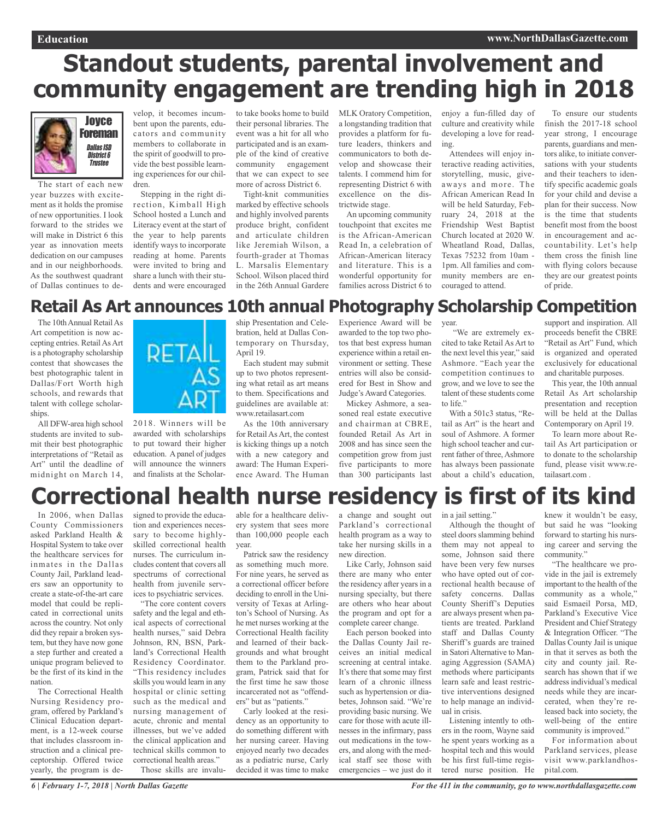# **Standout students, parental involvement and community engagement are trending high in 2018**



The start of each new year buzzes with excitement as it holds the promise of new opportunities. I look forward to the strides we will make in District 6 this year as innovation meets dedication on our campuses and in our neighborhoods. As the southwest quadrant of Dallas continues to de-

velop, it becomes incumbent upon the parents, educators and community members to collaborate in the spirit of goodwill to provide the best possible learning experiences for our children.

Stepping in the right direction, Kimball High School hosted a Lunch and Literacy event at the start of the year to help parents identify ways to incorporate reading at home. Parents were invited to bring and share a lunch with their students and were encouraged to take books home to build their personal libraries. The event was a hit for all who participated and is an example of the kind of creative community engagement that we can expect to see more of across District 6.

Tight-knit communities marked by effective schools and highly involved parents produce bright, confident and articulate children like Jeremiah Wilson, a fourth-grader at Thomas L. Marsalis Elementary School. Wilson placed third in the 26th Annual Gardere

MLK Oratory Competition, a longstanding tradition that provides a platform for future leaders, thinkers and communicators to both develop and showcase their talents. I commend him for representing District 6 with excellence on the districtwide stage.

An upcoming community touchpoint that excites me is the African-American Read In, a celebration of African-American literacy and literature. This is a wonderful opportunity for families across District 6 to enjoy a fun-filled day of culture and creativity while developing a love for reading.

Attendees will enjoy interactive reading activities, storytelling, music, giveaways and more. The African American Read In will be held Saturday, February 24, 2018 at the Friendship West Baptist Church located at 2020 W. Wheatland Road, Dallas, Texas 75232 from 10am - 1pm. All families and community members are encouraged to attend.

To ensure our students finish the 2017-18 school year strong, I encourage parents, guardians and mentors alike, to initiate conversations with your students and their teachers to identify specific academic goals for your child and devise a plan for their success. Now is the time that students benefit most from the boost in encouragement and accountability. Let's help them cross the finish line with flying colors because they are our greatest points of pride.

### **Retail As Art announces 10th annual Photography Scholarship Competition**

The 10th Annual Retail As Art competition is now accepting entries. RetailAsArt is a photography scholarship contest that showcases the best photographic talent in Dallas/Fort Worth high schools, and rewards that talent with college scholarships.

All DFW-area high school students are invited to submit their best photographic interpretations of "Retail as Art" until the deadline of midnight on March 14,



2018. Winners will be awarded with scholarships to put toward their higher education. Apanel of judges will announce the winners and finalists at the Scholarship Presentation and Celebration, held at Dallas Contemporary on Thursday, April 19.

Each student may submit up to two photos representing what retail as art means to them. Specifications and guidelines are available at: www.retailasart.com

As the 10th anniversary for Retail As Art, the contest is kicking things up a notch with a new category and award: The Human Experience Award. The Human

Experience Award will be year. awarded to the top two photos that best express human experience within a retail environment or setting. These entries will also be considered for Best in Show and Judge's Award Categories.

Mickey Ashmore, a seasoned real estate executive and chairman at CBRE, founded Retail As Art in 2008 and has since seen the competition grow from just five participants to more than 300 participants last

"We are extremely excited to take Retail As Art to the next level this year," said Ashmore. "Each year the competition continues to grow, and we love to see the talent of these students come to life."

With a 501c3 status, "Retail as Art" is the heart and soul of Ashmore. A former high school teacher and current father of three, Ashmore has always been passionate about a child's education,

support and inspiration. All proceeds benefit the CBRE "Retail as Art" Fund, which is organized and operated exclusively for educational and charitable purposes.

This year, the 10th annual Retail As Art scholarship presentation and reception will be held at the Dallas Contemporary on April 19.

To learn more about Retail As Art participation or to donate to the scholarship fund, please visit www.retailasart.com .

# **Correctional health nurse residency is first of its kind**

In 2006, when Dallas County Commissioners asked Parkland Health & Hospital System to take over the healthcare services for inmates in the Dallas County Jail, Parkland leaders saw an opportunity to create a state-of-the-art care model that could be replicated in correctional units across the country. Not only did they repair a broken system, but they have now gone a step further and created a unique program believed to be the first of its kind in the nation.

The Correctional Health Nursing Residency program, offered by Parkland's Clinical Education department, is a 12-week course that includes classroom instruction and a clinical preceptorship. Offered twice yearly, the program is de-

signed to provide the education and experiences necessary to become highlyskilled correctional health nurses. The curriculum includes content that covers all spectrums of correctional health from juvenile services to psychiatric services.

"The core content covers safety and the legal and ethical aspects of correctional health nurses," said Debra Johnson, RN, BSN, Parkland's Correctional Health Residency Coordinator. "This residency includes skills you would learn in any hospital or clinic setting such as the medical and nursing management of acute, chronic and mental illnesses, but we've added the clinical application and technical skills common to correctional health areas." Those skills are invalu-

able for a healthcare delivery system that sees more than 100,000 people each year.

Patrick saw the residency as something much more. For nine years, he served as a correctional officer before deciding to enroll in the University of Texas at Arlington's School of Nursing. As he met nurses working at the Correctional Health facility and learned of their backgrounds and what brought them to the Parkland program, Patrick said that for the first time he saw those incarcerated not as "offenders" but as "patients."

Carly looked at the residency as an opportunity to do something different with her nursing career. Having enjoyed nearly two decades as a pediatric nurse, Carly decided it was time to make

a change and sought out Parkland's correctional health program as a way to take her nursing skills in a new direction.

Like Carly, Johnson said there are many who enter the residency after years in a nursing specialty, but there are others who hear about the program and opt for a complete career change.

Each person booked into the Dallas County Jail receives an initial medical screening at central intake. It's there that some may first learn of a chronic illness such as hypertension or diabetes, Johnson said. "We're providing basic nursing. We care for those with acute illnesses in the infirmary, pass out medications in the towers, and along with the medical staff see those with emergencies – we just do it

in a jail setting."

Although the thought of steel doors slamming behind them may not appeal to some, Johnson said there have been very few nurses who have opted out of correctional health because of safety concerns. Dallas County Sheriff's Deputies are always present when patients are treated. Parkland staff and Dallas County Sheriff's guards are trained in Satori Alternative to Managing Aggression (SAMA) methods where participants learn safe and least restrictive interventions designed to help manage an individual in crisis.

Listening intently to others in the room, Wayne said he spent years working as a hospital tech and this would be his first full-time registered nurse position. He

knew it wouldn't be easy, but said he was "looking forward to starting his nursing career and serving the community."

"The healthcare we provide in the jail is extremely important to the health of the community as a whole," said Esmaeil Porsa, MD, Parkland's Executive Vice President and Chief Strategy & Integration Officer. "The Dallas County Jail is unique in that it serves as both the city and county jail. Research has shown that if we addressindividual's medical needs while they are incarcerated, when they're released back into society, the well-being of the entire community is improved."

For information about Parkland services, please visit www.parklandhospital.com.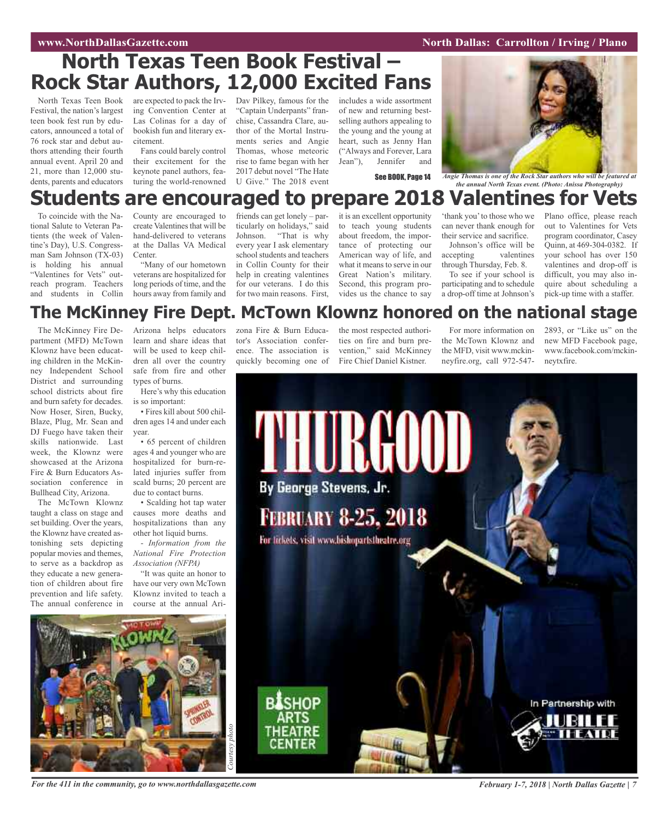### **WAWRIGHT WAS SEXUAL SEXUAL SEXUAL SEXUAL SEXUAL SEXUAL SEXUAL SEXUAL SEXUAL SEXUAL SEXUAL SEXUAL SEXUAL SEXUAL SE**

## **North Texas Teen Book Festival – Rock Star Authors, 12,000 Excited Fans**

North Texas Teen Book Festival, the nation's largest teen book fest run by educators, announced a total of 76 rock star and debut authors attending their fourth annual event. April 20 and 21, more than 12,000 students, parents and educators

are expected to pack the Irv-Dav Pilkey, famous for the ing Convention Center at Las Colinas for a day of bookish fun and literary excitement.

Fans could barely control their excitement for the keynote panel authors, featuring the world-renowned

"Captain Underpants" franchise, Cassandra Clare, author of the Mortal Instruments series and Angie Thomas, whose meteoric rise to fame began with her 2017 debut novel "The Hate U Give." The 2018 event

includes a wide assortment of new and returning bestselling authors appealing to the young and the young at heart, such as Jenny Han ("Always and Forever, Lara Jean"), Jennifer and



See BOOK, Page 14 *Angie Thomas is one of the Rock Star authors who will be featured at the annual North Texas event. (Photo: Anissa Photography)*

## **Students are encouraged to prepare 2018 Valentines for Vets**

To coincide with the National Salute to Veteran Patients (the week of Valentine's Day), U.S. Congressman Sam Johnson (TX-03) is holding his annual "Valentines for Vets" outreach program. Teachers and students in Collin

County are encouraged to create Valentines that will be hand-delivered to veterans at the Dallas VA Medical **Center**.

"Many of our hometown veterans are hospitalized for long periods of time, and the hours away from family and

friends can get lonely – particularly on holidays," said Johnson. "That is why every year I ask elementary school students and teachers in Collin County for their help in creating valentines for our veterans. I do this for two main reasons. First,

it is an excellent opportunity to teach young students about freedom, the importance of protecting our American way of life, and what it means to serve in our Great Nation's military. Second, this program provides us the chance to say

'thank you'to those who we can never thank enough for their service and sacrifice.

Johnson's office will be<br>accepting valentines valentines through Thursday, Feb. 8.

To see if your school is participating and to schedule a drop-off time at Johnson's

Plano office, please reach out to Valentines for Vets program coordinator, Casey Quinn, at 469-304-0382. If your school has over 150 valentines and drop-off is difficult, you may also inquire about scheduling a pick-up time with a staffer.

### **The McKinney Fire Dept. McTown Klownz honored on the national stage**

The McKinney Fire Department (MFD) McTown Klownz have been educating children in the McKinney Independent School District and surrounding school districts about fire and burn safety for decades. Now Hoser, Siren, Bucky, Blaze, Plug, Mr. Sean and DJ Fuego have taken their skills nationwide. Last week, the Klownz were showcased at the Arizona Fire & Burn Educators Association conference in Bullhead City, Arizona.

The McTown Klownz taught a class on stage and set building. Over the years, the Klownz have created astonishing sets depicting popular movies and themes, to serve as a backdrop as they educate a new generation of children about fire prevention and life safety. The annual conference in

Arizona helps educators learn and share ideas that will be used to keep children all over the country safe from fire and other types of burns.

Here's why this education is so important:

• Fires kill about 500 children ages 14 and under each year.

• 65 percent of children ages 4 and younger who are hospitalized for burn-related injuries suffer from scald burns; 20 percent are due to contact burns.

• Scalding hot tap water causes more deaths and hospitalizations than any other hot liquid burns.

*- Information from the National Fire Protection Association (NFPA)*

"It was quite an honor to have our very own McTown Klownz invited to teach a course at the annual Arizona Fire & Burn Educator's Association conference. The association is quickly becoming one of

the most respected authorities on fire and burn prevention," said McKinney Fire Chief Daniel Kistner.

For more information on the McTown Klownz and the MFD, visit www.mckinneyfire.org, call 972-5472893, or "Like us" on the new MFD Facebook page, www.facebook.com/mckinneytxfire.





For the 411 in the community, go to www.northdallasgazette.com February 1-7, 2018 | North Dallas Gazette | 7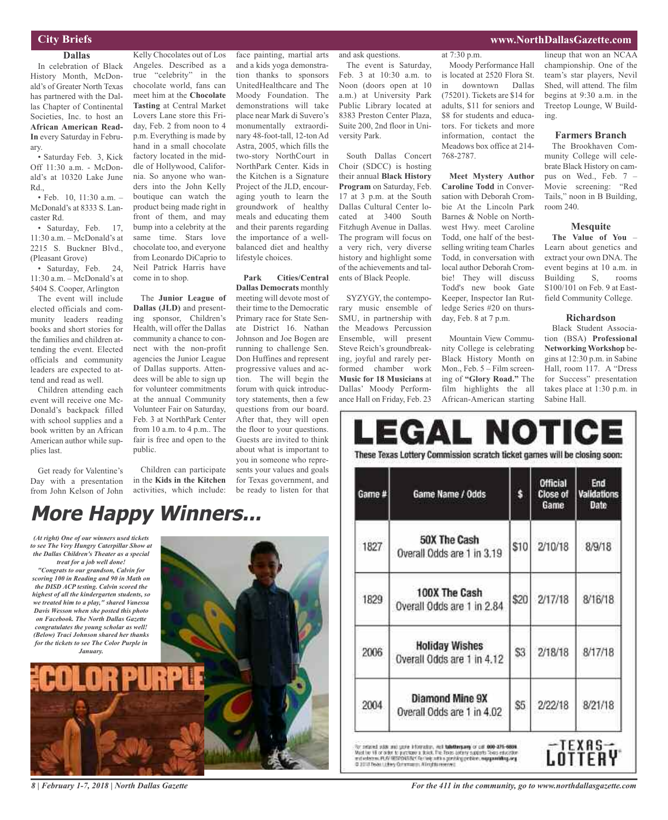#### **City Briefs**

### **Dallas**

In celebration of Black History Month, McDonald's of Greater North Texas has partnered with the Dallas Chapter of Continental Societies, Inc. to host an **African American Read-In** every Saturday in February.

• Saturday Feb. 3, Kick Off 11:30 a.m. - McDonald's at 10320 Lake June Rd.,

• Feb. 10, 11:30 a.m. – McDonald's at 8333 S. Lancaster Rd.

• Saturday, Feb. 17, 11:30 a.m. – McDonald's at 2215 S. Buckner Blvd., (Pleasant Grove)

• Saturday, Feb. 24, 11:30 a.m. – McDonald's at 5404 S. Cooper, Arlington

The event will include elected officials and community leaders reading books and short stories for the families and children attending the event. Elected officials and community leaders are expected to attend and read as well.

Children attending each event will receive one Mc-Donald's backpack filled with school supplies and a book written by an African American author while supplies last.

Get ready for Valentine's Day with a presentation from John Kelson of John

Kelly Chocolates out of Los Angeles. Described as a true "celebrity" in the chocolate world, fans can meet him at the **Chocolate Tasting** at Central Market Lovers Lane store this Friday, Feb. 2 from noon to 4 p.m. Everything is made by hand in a small chocolate factory located in the middle of Hollywood, California. So anyone who wanders into the John Kelly boutique can watch the product being made right in front of them, and may bump into a celebrity at the same time. Stars love chocolate too, and everyone from Leonardo DiCaprio to Neil Patrick Harris have come in to shop.

The **Junior League of Dallas (JLD)** and presenting sponsor, Children's Health, will offer the Dallas community a chance to connect with the non-profit agencies the Junior League of Dallas supports. Attendees will be able to sign up for volunteer commitments at the annual Community Volunteer Fair on Saturday, Feb. 3 at NorthPark Center from 10 a.m. to 4 p.m.. The fair is free and open to the public.

Children can participate in the **Kids in the Kitchen** activities, which include:

and a kids yoga demonstration thanks to sponsors UnitedHealthcare and The Moody Foundation. The demonstrations will take place near Mark di Suvero's monumentally extraordinary 48-foot-tall, 12-ton Ad Astra, 2005, which fills the two-story NorthCourt in NorthPark Center. Kids in the Kitchen is a Signature Project of the JLD, encouraging youth to learn the groundwork of healthy meals and educating them and their parents regarding the importance of a wellbalanced diet and healthy lifestyle choices.

face painting, martial arts

**Park Cities/Central Dallas Democrats** monthly meeting will devote most of their time to the Democratic Primary race for State Senate District 16. Nathan Johnson and Joe Bogen are running to challenge Sen. Don Huffines and represent progressive values and action. The will begin the forum with quick introductory statements, then a few questions from our board. After that, they will open the floor to your questions. Guests are invited to think about what is important to you in someone who represents your values and goals for Texas government, and be ready to listen for that

#### and ask questions.

The event is Saturday, Feb. 3 at 10:30 a.m. to Noon (doors open at 10 a.m.) at University Park Public Library located at 8383 Preston Center Plaza, Suite 200, 2nd floor in University Park.

South Dallas Concert Choir (SDCC) is hosting their annual **Black History Program** on Saturday, Feb. 17 at 3 p.m. at the South Dallas Cultural Center located at 3400 South Fitzhugh Avenue in Dallas. The program will focus on a very rich, very diverse history and highlight some of the achievements and talents of Black People.

SYZYGY, the contemporary music ensemble of SMU, in partnership with the Meadows Percussion Ensemble, will present Steve Reich's groundbreaking, joyful and rarely performed chamber work **Music for 18 Musicians** at Dallas' Moody Performance Hall on Friday, Feb. 23

Moody Performance Hall is located at 2520 Flora St. in downtown Dallas (75201). Tickets are \$14 for adults, \$11 for seniors and \$8 for students and educa-

at 7:30 p.m.

tors. For tickets and more information, contact the Meadows box office at 214- 768-2787.

**Meet Mystery Author Caroline Todd** in Conversation with Deborah Crombie At the Lincoln Park Barnes & Noble on Northwest Hwy. meet Caroline Todd, one half of the bestselling writing team Charles Todd, in conversation with local author Deborah Crombie! They will discuss Todd's new book Gate Keeper, Inspector Ian Rutledge Series #20 on thursday, Feb. 8 at 7 p.m.

Mountain View Community College is celebrating Black History Month on Mon., Feb. 5 – Film screening of **"Glory Road."** The film highlights the all African-American starting

lineup that won an NCAA championship. One of the team's star players, Nevil Shed, will attend. The film begins at 9:30 a.m. in the Treetop Lounge, W Building.

**www.NorthDallasGazette.com**

#### **Farmers Branch**

The Brookhaven Community College will celebrate Black History on campus on Wed., Feb. 7 – Movie screening: "Red Tails," noon in B Building, room 240.

#### **Mesquite**

**The Value of You** – Learn about genetics and extract your own DNA. The event begins at 10 a.m. in Building S, rooms S100/101 on Feb. 9 at Eastfield Community College.

#### **Richardson**

Black Student Association (BSA) **Professional Networking Workshop** begins at 12:30 p.m. in Sabine Hall, room 117. A "Dress for Success" presentation takes place at 1:30 p.m. in Sabine Hall.

| Game # | Game Name / Odds                                    |      | <b>Official</b><br>Close of<br>Game | End<br><b>Validations</b><br>Date |
|--------|-----------------------------------------------------|------|-------------------------------------|-----------------------------------|
| 1827   | <b>50X The Cash</b><br>Overall Odds are 1 in 3.19   | \$10 | 2/10/18                             | 8/9/18                            |
| 1829   | 100X The Cash<br>Overall Odds are 1 in 2.84         | \$20 | 2/17/18                             | 8/16/18                           |
| 2006   | <b>Holiday Wishes</b><br>Overall Odds are 1 in 4.12 | \$3  | 2/18/18                             | 8/17/18                           |
| 2004   | Diamond Mine 9X<br>Overall Odds are 1 in 4.02       | \$5  | 2/22/18                             | 8/21/18                           |

*(At right) One of our winners used tickets to see The Very Hungry Caterpillar Show at the Dallas Children's Theater as a special treat for a job well done! "Congrats to our grandson, Calvin for*

*scoring 100 in Reading and 90 in Math on the DISD ACP testing. Calvin scored the highest of all the kindergarten students, so we treated him to a play," shared Vanessa Davis Wesson when she posted this photo on Facebook. The North Dallas Gazette congratulates the young scholar as well! (Below) Traci Johnson shared her thanks for the tickets to see The Color Purple in January.*



*8 | February 1-7, 2018 | North Dallas Gazette*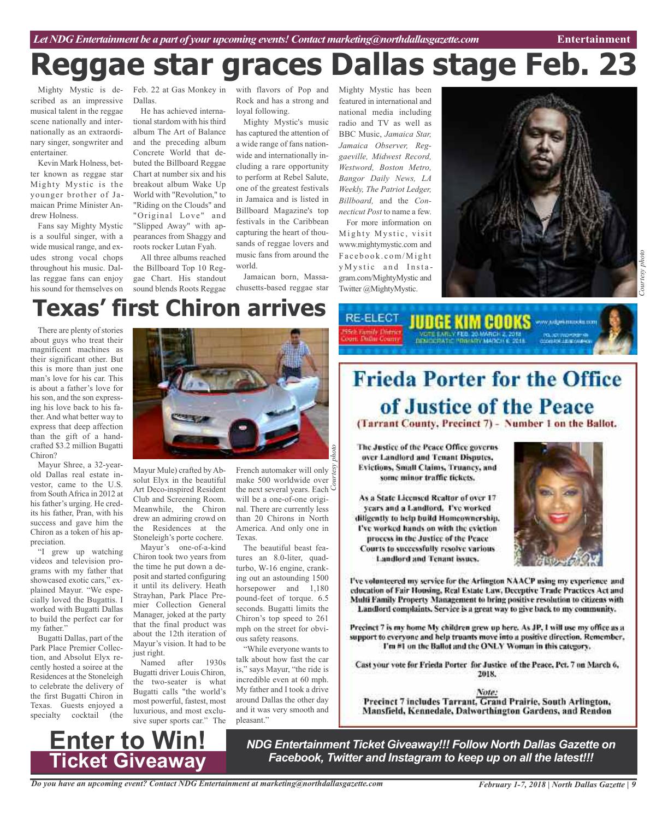# **Reggae star graces Dallas stage Feb. 23**

Mighty Mystic is described as an impressive musical talent in the reggae scene nationally and internationally as an extraordinary singer, songwriter and entertainer.

Kevin Mark Holness, better known as reggae star Mighty Mystic is the younger brother of Jamaican Prime Minister Andrew Holness.

Fans say Mighty Mystic is a soulful singer, with a wide musical range, and exudes strong vocal chops throughout his music. Dallas reggae fans can enjoy his sound for themselves on

Feb. 22 at Gas Monkey in Dallas.

He has achieved international stardom with his third album The Art of Balance and the preceding album Concrete World that debuted the Billboard Reggae Chart at number six and his breakout album Wake Up World with "Revolution," to "Riding on the Clouds" and "Original Love" and "Slipped Away" with appearances from Shaggy and roots rocker Lutan Fyah.

All three albums reached the Billboard Top 10 Reggae Chart. His standout sound blends Roots Reggae

with flavors of Pop and Mighty Mystic has been Rock and has a strong and loyal following.

Mighty Mystic's music has captured the attention of a wide range of fans nationwide and internationally including a rare opportunity to perform at Rebel Salute, one of the greatest festivals in Jamaica and is listed in Billboard Magazine's top festivals in the Caribbean capturing the heart of thousands of reggae lovers and music fans from around the world.

Jamaican born, Massachusetts-based reggae star featured in international and national media including radio and TV as well as BBC Music, *Jamaica Star, Jamaica Observer, Reggaeville, Midwest Record, Westword, Boston Metro, Bangor Daily News, LA Weekly, The Patriot Ledger, Billboard,* and the *Connecticut Post* to name a few.

For more information on Mighty Mystic, visit www.mightymystic.com and Facebook.com/Might y Mystic and Instagram.com/MightyMystic and Twitter @MightyMystic.

RE-ELECT



# **Texas' first Chiron arrives**

There are plenty of stories about guys who treat their magnificent machines as their significant other. But this is more than just one man's love for his car. This is about a father's love for his son, and the son expressing his love back to his father. And what better way to express that deep affection than the gift of a handcrafted \$3.2 million Bugatti Chiron?

Mayur Shree, a 32-yearold Dallas real estate investor, came to the U.S. from SouthAfrica in 2012 at his father's urging. He credits his father, Pran, with his success and gave him the Chiron as a token of his appreciation.

"I grew up watching videos and television programs with my father that showcased exotic cars," explained Mayur. "We especially loved the Bugattis. I worked with Bugatti Dallas to build the perfect car for my father.'

Bugatti Dallas, part of the Park Place Premier Collection, and Absolut Elyx recently hosted a soiree at the Residences at the Stoneleigh to celebrate the delivery of the first Bugatti Chiron in Texas. Guests enjoyed a specialty cocktail (the



Mayur Mule) crafted byAbsolut Elyx in the beautiful Art Deco-inspired Resident Club and Screening Room. Meanwhile, the Chiron drew an admiring crowd on the Residences at the Stoneleigh's porte cochere.

Mayur's one-of-a-kind Chiron took two years from the time he put down a deposit and started configuring it until its delivery. Heath Strayhan, Park Place Premier Collection General Manager, joked at the party that the final product was about the 12th iteration of Mayur's vision. It had to be just right.

Named after 1930s Bugatti driver Louis Chiron, the two-seater is what Bugatti calls "the world's most powerful, fastest, most luxurious, and most exclusive super sports car." The

French automaker will only<br>make 500 worldwide over make 500 worldwide over the next several years. Each  $\breve{\circ}$ will be a one-of-one original. There are currently less than 20 Chirons in North America. And only one in Texas. *photo*

The beautiful beast features an 8.0-liter, quadturbo, W-16 engine, cranking out an astounding 1500 horsepower and  $1,180$ pound-feet of torque. 6.5 seconds. Bugatti limits the Chiron's top speed to 261 mph on the street for obvious safety reasons.

"While everyone wants to talk about how fast the car is," says Mayur, "the ride is incredible even at 60 mph. My father and I took a drive around Dallas the other day and it was very smooth and pleasant."

# **Frieda Porter for the Office** of Justice of the Peace

**JUDGE KIM COOKS** 

(Tarrant County, Precinct 7) - Number 1 on the Ballot.

The Justice of the Peace Office governs over Landford and Tenant Disputes, Evictions, Small Claims, Truancy, and some minor traffic tickets.

As a State Licensed Realtor of over 17 years and a Landlord, I've worked diligently to help build Homcownership. I've worked hands on with the eviction process in the Justice of the Peace Courts to successfully resolve various Landlord and Tenant issues.



м ладентноски или

I've volunteered my service for the Arlington NAACP using my experience and education of Fair Housing, Real Estate Law, Deceptive Trade Practices Act and Multi Family Property Management to bring positive resolution to citizens with Landlord complaints. Service is a great way to give back to my community.

Precinct 7 is my home My children grew up here. As JP, I will use my office as a support to everyone and help truants move into a positive direction. Remember, I'm #1 on the Ballot and the ONLY Woman in this category.

Cast your vote for Frieda Porter for Justice of the Peace, Pct. 7 on March 6, 2018.

Note: Precinct 7 includes Tarrant, Grand Prairie, South Arlington, Mansfield, Kennedale, Dalworthington Gardens, and Rendon



*NDG Entertainment Ticket Giveaway!!! Follow North Dallas Gazette on Facebook, Twitter and Instagram to keep up on all the latest!!!*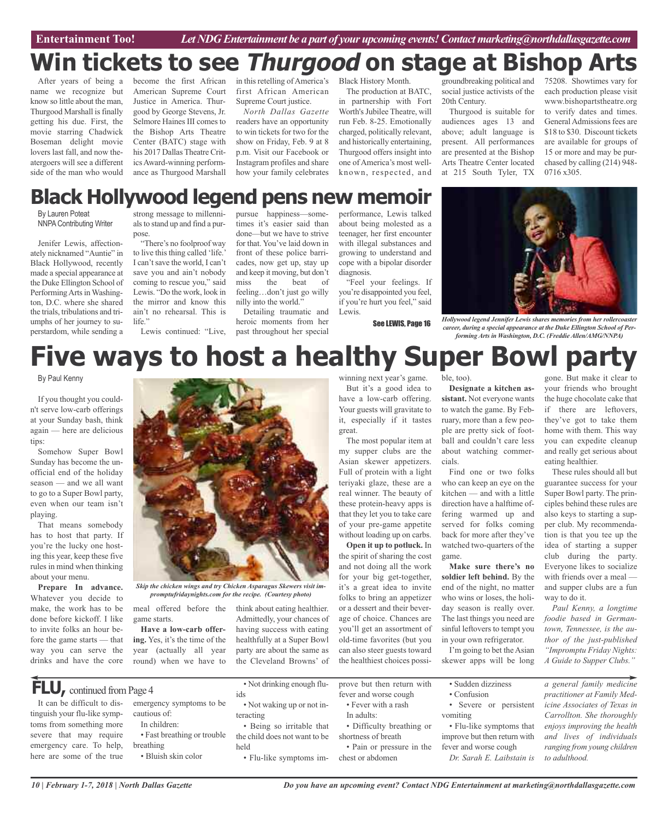# **Win tickets to see Thurgood on stage at Bishop Arts**

After years of being a name we recognize but know so little about the man, Thurgood Marshall is finally getting his due. First, the movie starring Chadwick Boseman delight movie lovers last fall, and now theatergoers will see a different side of the man who would

become the first African American Supreme Court Justice in America. Thurgood by George Stevens, Jr. Selmore Haines III comes to the Bishop Arts Theatre Center (BATC) stage with his 2017 Dallas Theatre CriticsAward-winning performance as Thurgood Marshall

in this retelling of America's first African American Supreme Court justice.

*North Dallas Gazette* readers have an opportunity to win tickets for two for the show on Friday, Feb. 9 at 8 p.m. Visit our Facebook or Instagram profiles and share how your family celebrates

Black History Month. The production at BATC,

in partnership with Fort Worth's Jubilee Theatre, will run Feb. 8-25. Emotionally charged, politically relevant, and historically entertaining, Thurgood offers insight into one of America's most wellknown, respected, and

groundbreaking political and 75208. Showtimes vary for social justice activists of the 20th Century.

Thurgood is suitable for audiences ages 13 and above; adult language is present. All performances are presented at the Bishop Arts Theatre Center located at 215 South Tyler, TX

**Designate a kitchen assistant.** Not everyone wants to watch the game. By February, more than a few people are pretty sick of football and couldn't care less about watching commer-

Find one or two folks who can keep an eye on the kitchen — and with a little direction have a halftime offering warmed up and served for folks coming back for more after they've each production please visit www.bishopartstheatre.org to verify dates and times. General Admissions fees are \$18 to \$30. Discount tickets are available for groups of 15 or more and may be purchased by calling (214) 948- 0716 x305.

## **Black Hollywood legend pens new memoir**

By Lauren Poteat NNPA Contributing Writer

Jenifer Lewis, affectionately nicknamed "Auntie" in Black Hollywood, recently made a special appearance at the Duke Ellington School of Performing Arts in Washington, D.C. where she shared the trials, tribulations and triumphs of her journey to superstardom, while sending a

strong message to millennials to stand up and find a purpose.

"There's no foolproof way to live this thing called 'life.' I can't save the world, I can't save you and ain't nobody coming to rescue you," said Lewis. "Do the work, look in the mirror and know this ain't no rehearsal. This is life."

pursue happiness—sometimes it's easier said than done—but we have to strive for that. You've laid down in front of these police barricades, now get up, stay up and keep it moving, but don't miss the beat of feeling…don't just go willy nilly into the world."

Lewis continued: "Live, past throughout her special Detailing traumatic and heroic moments from her performance, Lewis talked about being molested as a teenager, her first encounter with illegal substances and growing to understand and cope with a bipolar disorder diagnosis.

"Feel your feelings. If you're disappointed you feel, if you're hurt you feel," said Lewis.

See LEWIS, Page 16

*Hollywood legend Jennifer Lewis shares memories from her rollercoaster career, during a special appearance at the Duke Ellington School of Performing Arts in Washington, D.C. (Freddie Allen/AMG/NNPA)*

### **Five ways to host a healthy Super Bowl party** ble, too).

By Paul Kenny

If you thought you couldn't serve low-carb offerings at your Sunday bash, think again — here are delicious tips:

Somehow Super Bowl Sunday has become the unofficial end of the holiday season — and we all want to go to a Super Bowl party, even when our team isn't playing.

That means somebody has to host that party. If you're the lucky one hosting this year, keep these five rules in mind when thinking about your menu.

**Prepare In advance.** Whatever you decide to make, the work has to be done before kickoff. I like to invite folks an hour before the game starts — that way you can serve the drinks and have the core



*promptufridaynights.com for the recipe. (Courtesy photo)*

meal offered before the think about eating healthier. game starts. **Have a low-carb offer-**

**ing.** Yes, it's the time of the year (actually all year round) when we have to

**FLU**, continued from Page 4

It can be difficult to distinguish your flu-like symptoms from something more severe that may require emergency care. To help, here are some of the true

emergency symptoms to be cautious of:

- In children:
- Fast breathing or trouble breathing
- Bluish skin color

• Not drinking enough fluids

Admittedly, your chances of having success with eating healthfully at a Super Bowl party are about the same as the Cleveland Browns' of

• Not waking up or not interacting

• Being so irritable that the child does not want to be held

winning next year's game.

But it's a good idea to have a low-carb offering. Your guests will gravitate to it, especially if it tastes great.

The most popular item at my supper clubs are the Asian skewer appetizers. Full of protein with a light teriyaki glaze, these are a real winner. The beauty of these protein-heavy apps is that they let you to take care of your pre-game appetite without loading up on carbs. **Open it up to potluck.** In

the spirit of sharing the cost and not doing all the work for your big get-together, it's a great idea to invite folks to bring an appetizer or a dessert and their beverage of choice. Chances are you'll get an assortment of old-time favorites (but you can also steer guests toward the healthiest choices possi-

• Pain or pressure in the

watched two-quarters of the game. **Make sure there's no soldier left behind.** By the end of the night, no matter who wins or loses, the holiday season is really over. The last things you need are sinful leftovers to tempt you in your own refrigerator.

cials.

I'm going to bet the Asian skewer apps will be long

• Sudden dizziness • Confusion

*Do you have an upcoming event? Contact NDG Entertainment at marketing@northdallasgazette.com*

- Severe or persistent
- vomiting • Flu-like symptoms that improve but then return with

fever and worse cough *Dr. Sarah E. Laibstain is*

gone. But make it clear to your friends who brought the huge chocolate cake that if there are leftovers, they've got to take them home with them. This way you can expedite cleanup and really get serious about eating healthier.

These rules should all but guarantee success for your Super Bowl party. The principles behind these rules are also keys to starting a supper club. My recommendation is that you tee up the idea of starting a supper club during the party. Everyone likes to socialize with friends over a meal and supper clubs are a fun way to do it.

*Paul Kenny, a longtime foodie based in Germantown, Tennessee, is the author of the just-published "Impromptu Friday Nights: A Guide to Supper Clubs."*

*a general family medicine practitioner at Family Medicine Associates of Texas in Carrollton. She thoroughly enjoys improving the health and lives of individuals ranging from young children*

prove but then return with fever and worse cough • Fever with a rash

- In adults: • Difficulty breathing or
- shortness of breath

• Flu-like symptoms im-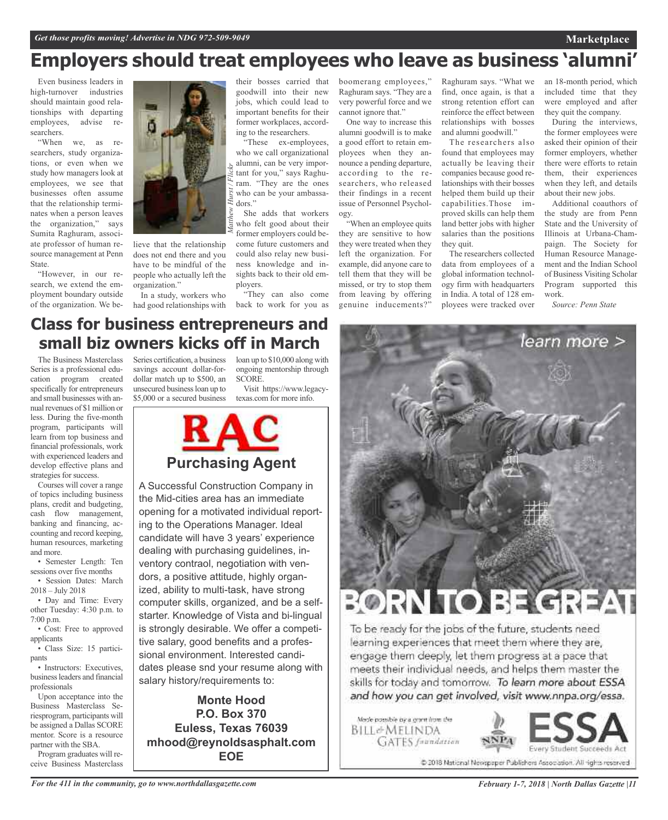## **Employers should treat employees who leave as business 'alumni'**

Even business leaders in high-turnover industries should maintain good relationships with departing employees, advise researchers.

"When we, as researchers, study organizations, or even when we study how managers look at employees, we see that businesses often assume that the relationship terminates when a person leaves the organization," says Sumita Raghuram, associate professor of human resource management at Penn State.

"However, in our research, we extend the employment boundary outside of the organization. We be-



lieve that the relationship does not end there and you have to be mindful of the people who actually left the organization."

In a study, workers who

their bosses carried that goodwill into their new jobs, which could lead to important benefits for their former workplaces, according to the researchers.

"These ex-employees, who we call organizational alumni, can be very important for you," says Raghuram. "They are the ones who can be your ambassadors."

She adds that workers who felt good about their former employers could become future customers and could also relay new business knowledge and insights back to their old employers.

had good relationships with back to work for you as "They can also come boomerang employees," Raghuram says. "They are a very powerful force and we cannot ignore that."

One way to increase this alumni goodwill is to make a good effort to retain employees when they announce a pending departure, according to the researchers, who released their findings in a recent issue of Personnel Psychology.

"When an employee quits they are sensitive to how they were treated when they left the organization. For example, did anyone care to tell them that they will be missed, or try to stop them from leaving by offering genuine inducements?"

Raghuram says. "What we find, once again, is that a strong retention effort can reinforce the effect between relationships with bosses and alumni goodwill."

The researchers also found that employees may actually be leaving their companies because good relationships with their bosses helped them build up their capabilities.Those improved skills can help them land better jobs with higher salaries than the positions they quit.

The researchers collected data from employees of a global information technology firm with headquarters in India. A total of 128 employees were tracked over an 18-month period, which included time that they were employed and after they quit the company.

**Marketplace**

During the interviews, the former employees were asked their opinion of their former employers, whether there were efforts to retain them, their experiences when they left, and details about their new jobs.

Additional coauthors of the study are from Penn State and the University of Illinois at Urbana-Champaign. The Society for Human Resource Management and the Indian School of Business Visiting Scholar Program supported this work.

*Source: Penn State*

### **Class for business entrepreneurs and small biz owners kicks off in March**

The Business Masterclass Series is a professional education program created specifically for entrepreneurs and small businesses with annual revenues of \$1 million or less. During the five-month program, participants will learn from top business and financial professionals, work with experienced leaders and develop effective plans and strategies for success.

Courses will cover a range of topics including business plans, credit and budgeting, cash flow management, banking and financing, accounting and record keeping, human resources, marketing and more.

• Semester Length: Ten sessions over five months • Session Dates: March

2018 – July 2018 • Day and Time: Every

other Tuesday: 4:30 p.m. to 7:00 p.m.

• Cost: Free to approved applicants

• Class Size: 15 participants

• Instructors: Executives, businessleaders and financial professionals

Upon acceptance into the Business Masterclass Seriesprogram, participants will be assigned a Dallas SCORE mentor. Score is a resource partner with the SBA.

Program graduates will receive Business Masterclass

Series certification, a business loan up to \$10,000 along with savings account dollar-fordollar match up to \$500, an unsecured businessloan up to \$5,000 or a secured business

ongoing mentorship through SCORE.

Visit https://www.legacytexas.com for more info.



A Successful Construction Company in the Mid-cities area has an immediate opening for a motivated individual reporting to the Operations Manager. Ideal candidate will have 3 years' experience dealing with purchasing guidelines, inventory contraol, negotiation with vendors, a positive attitude, highly organized, ability to multi-task, have strong computer skills, organized, and be a selfstarter. Knowledge of Vista and bi-lingual is strongly desirable. We offer a competitive salary, good benefits and a professional environment. Interested candidates please snd your resume along with salary history/requirements to:

**Monte Hood P.O. Box 370 Euless, Texas 76039 mhood@reynoldsasphalt.com EOE**



To be ready for the jobs of the future, students need learning experiences that meet them where they are, engage them deeply, let them progress at a pace that meets their individual needs, and helps them master the skills for today and tomorrow. To learn more about ESSA and how you can get involved, visit www.nnpa.org/essa.

Made possible by a grant from the BILL&MELINDA **GATES** frandation



@ 2018 National Newspaper Publishers Association. All rights reserved

*For the 411 in the community, go to www.northdallasgazette.com*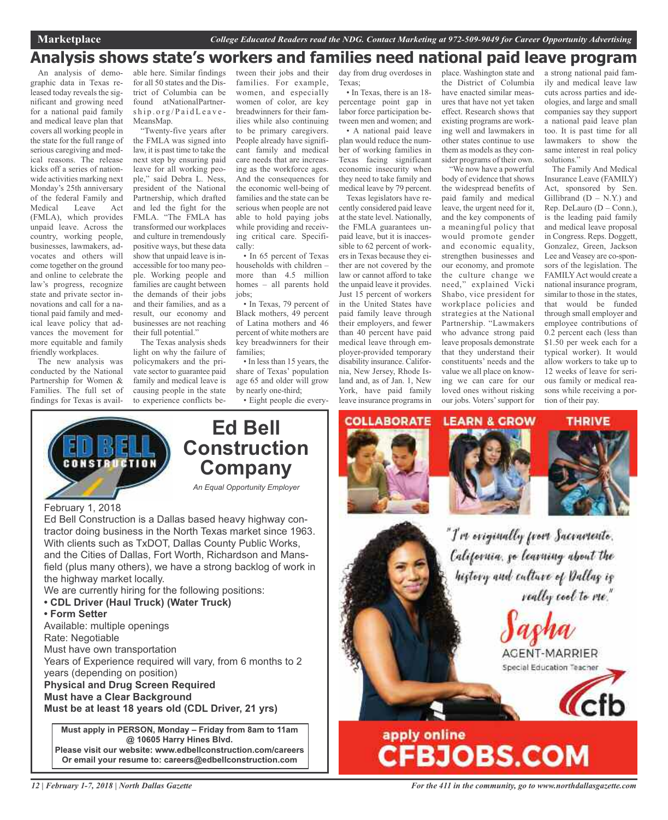### **Analysis shows state's workers and families need national paid leave program**

An analysis of demographic data in Texas released today reveals the significant and growing need for a national paid family and medical leave plan that covers all working people in the state for the full range of serious caregiving and medical reasons. The release kicks off a series of nationwide activities marking next Monday's 25th anniversary of the federal Family and Medical Leave Act (FMLA), which provides unpaid leave. Across the country, working people, businesses, lawmakers, advocates and others will come together on the ground and online to celebrate the law's progress, recognize state and private sector innovations and call for a national paid family and medical leave policy that advances the movement for more equitable and family friendly workplaces.

The new analysis was conducted by the National Partnership for Women & Families. The full set of findings for Texas is avail-

able here. Similar findings for all 50 states and the District of Columbia can be found atNationalPartner $ship.org/PaidLeave-$ MeansMap.

"Twenty-five years after the FMLA was signed into law, it is past time to take the next step by ensuring paid leave for all working people," said Debra L. Ness, president of the National Partnership, which drafted and led the fight for the FMLA. "The FMLA has transformed our workplaces and culture in tremendously positive ways, but these data show that unpaid leave is inaccessible for too many people. Working people and families are caught between the demands of their jobs and their families, and as a result, our economy and businesses are not reaching their full potential."

The Texas analysis sheds light on why the failure of policymakers and the private sector to guarantee paid family and medical leave is causing people in the state to experience conflicts between their jobs and their families. For example, women, and especially women of color, are key breadwinners for their families while also continuing to be primary caregivers. People already have significant family and medical care needs that are increasing as the workforce ages. And the consequences for the economic well-being of families and the state can be serious when people are not able to hold paying jobs while providing and receiving critical care. Specifically:

• In 65 percent of Texas households with children – more than 4.5 million homes – all parents hold jobs;

• In Texas, 79 percent of Black mothers, 49 percent of Latina mothers and 46 percent of white mothers are key breadwinners for their families;

• In less than 15 years, the share of Texas' population age 65 and older will grow by nearly one-third;

• Eight people die every-

day from drug overdoses in Texas;

• In Texas, there is an 18 percentage point gap in labor force participation between men and women; and • A national paid leave plan would reduce the number of working families in Texas facing significant economic insecurity when they need to take family and medical leave by 79 percent. Texas legislators have re-

cently considered paid leave at the state level. Nationally, the FMLA guarantees unpaid leave, but it is inaccessible to 62 percent of workers in Texas because they either are not covered by the law or cannot afford to take the unpaid leave it provides. Just 15 percent of workers in the United States have paid family leave through their employers, and fewer than 40 percent have paid medical leave through employer-provided temporary disability insurance. California, New Jersey, Rhode Island and, as of Jan. 1, New York, have paid family leave insurance programs in

place. Washington state and the District of Columbia have enacted similar measures that have not yet taken effect. Research shows that existing programs are working well and lawmakers in other states continue to use them as models as they consider programs of their own.

"We now have a powerful body of evidence that shows the widespread benefits of paid family and medical leave, the urgent need for it, and the key components of a meaningful policy that would promote gender and economic equality, strengthen businesses and our economy, and promote the culture change we need," explained Vicki Shabo, vice president for workplace policies and strategies at the National Partnership. "Lawmakers who advance strong paid leave proposals demonstrate that they understand their constituents' needs and the value we all place on knowing we can care for our loved ones without risking our jobs. Voters'support for a strong national paid family and medical leave law cuts across parties and ideologies, and large and small companies say they support a national paid leave plan too. It is past time for all lawmakers to show the same interest in real policy solutions."

The Family And Medical Insurance Leave (FAMILY) Act, sponsored by Sen. Gillibrand  $(D - N.Y.)$  and Rep. DeLauro (D – Conn.), is the leading paid family and medical leave proposal in Congress. Reps. Doggett, Gonzalez, Green, Jackson Lee and Veasey are co-sponsors of the legislation. The FAMILY Act would create a national insurance program, similar to those in the states, that would be funded through small employer and employee contributions of 0.2 percent each (less than \$1.50 per week each for a typical worker). It would allow workers to take up to 12 weeks of leave for serious family or medical reasons while receiving a portion of their pay.

**CONSTRUCTIO** 

### **Ed Bell Construction Company**

*An Equal Opportunity Employer*

### February 1, 2018

Ed Bell Construction is a Dallas based heavy highway contractor doing business in the North Texas market since 1963. With clients such as TxDOT, Dallas County Public Works, and the Cities of Dallas, Fort Worth, Richardson and Mansfield (plus many others), we have a strong backlog of work in the highway market locally.

We are currently hiring for the following positions:

- **• CDL Driver (Haul Truck) (Water Truck)**
- **• Form Setter**

Available: multiple openings

Rate: Negotiable

Must have own transportation

Years of Experience required will vary, from 6 months to 2 years (depending on position)

**Physical and Drug Screen Required Must have a Clear Background**

**Must be at least 18 years old (CDL Driver, 21 yrs)**

**Must apply in PERSON, Monday – Friday from 8am to 11am @ 10605 Harry Hines Blvd. Please visit our website: www.edbellconstruction.com/careers Or email your resume to: careers@edbellconstruction.com**







"I've eviginally from Sacramente. California, go learning about the higtory and culture of Dallag ig really cool to me."

AGENT-MARRIER Special Education Teacher

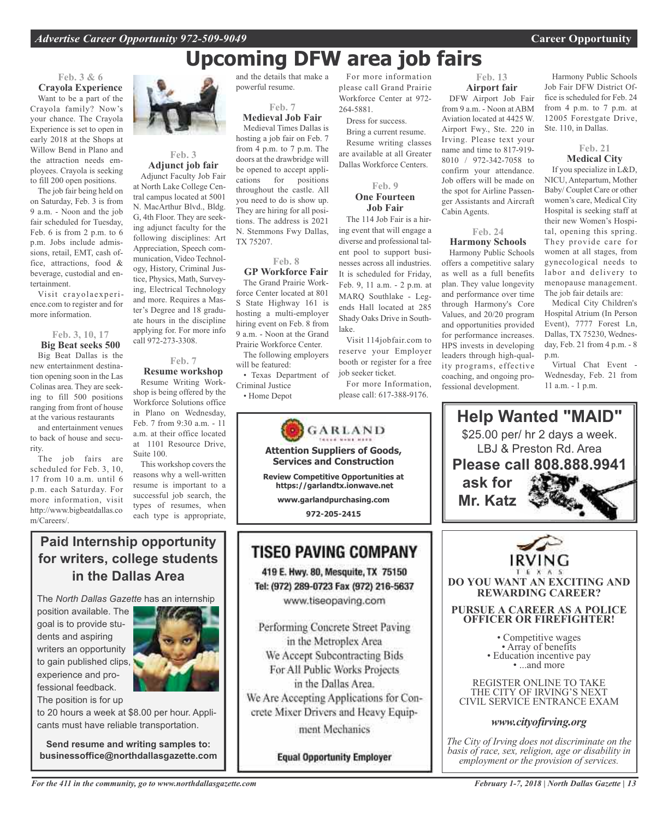# **Upcoming DFW area job fairs**

264-5881.

Dress for success. Bring a current resume. Resume writing classes are available at all Greater Dallas Workforce Centers.

**Feb. 9 One Fourteen Job Fair** The 114 Job Fair is a hiring event that will engage a diverse and professional talent pool to support businesses across all industries. It is scheduled for Friday, Feb. 9, 11 a.m. - 2 p.m. at MARQ Southlake - Legends Hall located at 285 Shady Oaks Drive in South-

Visit 114jobfair.com to reserve your Employer booth or register for a free

For more Information, please call: 617-388-9176.

job seeker ticket.

### **Feb. 3 & 6 Crayola Experience**

Want to be a part of the Crayola family? Now's your chance. The Crayola Experience is set to open in early 2018 at the Shops at Willow Bend in Plano and the attraction needs employees. Crayola is seeking to fill 200 open positions.

The job fair being held on on Saturday, Feb. 3 is from 9 a.m. - Noon and the job fair scheduled for Tuesday, Feb. 6 is from 2 p.m. to 6 p.m. Jobs include admissions, retail, EMT, cash office, attractions, food & beverage, custodial and entertainment.

Visit crayolaexperience.com to register and for more information.

### **Feb. 3, 10, 17 Big Beat seeks 500** Big Beat Dallas is the new entertainment destination opening soon in the Las Colinas area. They are seeking to fill 500 positions ranging from front of house

at the various restaurants and entertainment venues to back of house and security.

The job fairs are scheduled for Feb. 3, 10, 17 from 10 a.m. until 6 p.m. each Saturday. For more information, visit http://www.bigbeatdallas.co m/Careers/.



#### **Feb. 3 Adjunct job fair**

Adjunct Faculty Job Fair at North Lake College Central campus located at 5001 N. MacArthur Blvd., Bldg. G, 4th Floor. They are seeking adjunct faculty for the following disciplines: Art Appreciation, Speech communication, Video Technology, History, Criminal Justice, Physics, Math, Surveying, Electrical Technology and more. Requires a Master's Degree and 18 graduate hours in the discipline applying for. For more info call 972-273-3308.

### **Feb. 7**

**Resume workshop** Resume Writing Workshop is being offered by the Workforce Solutions office in Plano on Wednesday, Feb. 7 from 9:30 a.m. - 11 a.m. at their office located at 1101 Resource Drive, Suite 100.

This workshop covers the reasons why a well-written resume is important to a successful job search, the types of resumes, when each type is appropriate,

and the details that make a powerful resume.

### **Feb. 7 Medieval Job Fair**

Medieval Times Dallas is hosting a job fair on Feb. 7 from 4 p.m. to 7 p.m. The doors at the drawbridge will be opened to accept applications for positions throughout the castle. All you need to do is show up. They are hiring for all positions. The address is 2021 N. Stemmons Fwy Dallas, TX 75207.

#### **Feb. 8**

**GP Workforce Fair** The Grand Prairie Workforce Center located at 801 S State Highway 161 is hosting a multi-employer hiring event on Feb. 8 from 9 a.m. - Noon at the Grand Prairie Workforce Center.

The following employers will be featured:

• Texas Department of Criminal Justice • Home Depot



lake.

**972-205-2415**

### **TISEO PAVING COMPANY**

419 E. Hwy. 80, Mesquite, TX 75150 Tel: (972) 289-0723 Fax (972) 216-5637 www.tiseopaving.com

Performing Concrete Street Paving in the Metroplex Area We Accept Subcontracting Bids For All Public Works Projects in the Dallas Area. We Are Accepting Applications for Concrete Mixer Drivers and Heavy Equipment Mechanics

**Equal Opportunity Employer** 

For more information please call Grand Prairie Workforce Center at 972- **Airport fair** DFW Airport Job Fair

from 9 a.m. - Noon at ABM Aviation located at 4425 W. Airport Fwy., Ste. 220 in Irving. Please text your name and time to 817-919- 8010 / 972-342-7058 to confirm your attendance. Job offers will be made on the spot for Airline Passenger Assistants and Aircraft Cabin Agents.

**Feb. 13**

#### **Feb. 24 Harmony Schools**

Harmony Public Schools offers a competitive salary as well as a full benefits plan. They value longevity and performance over time through Harmony's Core Values, and 20/20 program and opportunities provided for performance increases. HPS invests in developing leaders through high-quality programs, effective coaching, and ongoing professional development.

Harmony Public Schools Job Fair DFW District Office is scheduled for Feb. 24 from 4 p.m. to 7 p.m. at 12005 Forestgate Drive, Ste. 110, in Dallas.

### **Feb. 21 Medical City**

If you specialize in L&D, NICU, Antepartum, Mother Baby/ Couplet Care or other women's care, Medical City Hospital is seeking staff at their new Women's Hospital, opening this spring. They provide care for women at all stages, from gynecological needs to labor and delivery to menopause management. The job fair details are:

Medical City Children's Hospital Atrium (In Person Event), 7777 Forest Ln, Dallas, TX 75230, Wednesday, Feb. 21 from 4 p.m. - 8 p.m.

Virtual Chat Event - Wednesday, Feb. 21 from 11 a.m. - 1 p.m.



**DO YOU WANT AN EXCITING AND REWARDING CAREER?**

### **PURSUE A CAREER AS A POLICE OFFICER OR FIREFIGHTER!**

• Competitive wages<br>• Array of benefits<br>• Education incentive pay<br>• ...and more

REGISTER ONLINE TO TAKE THE CITY OF IRVING'S NEXT CIVIL SERVICE ENTRANCE EXAM

### *www.cityofirving.org*

*The City of Irving does not discriminate on the basis of race, sex, religion, age or disability in employment or the provision of services.*

**Paid Internship opportunity for writers, college students in the Dallas Area**

The *North Dallas Gazette* has an internship

position available. The goal is to provide students and aspiring writers an opportunity to gain published clips, experience and professional feedback. The position is for up



to 20 hours a week at \$8.00 per hour. Applicants must have reliable transportation.

**Send resume and writing samples to: businessoffice@northdallasgazette.com**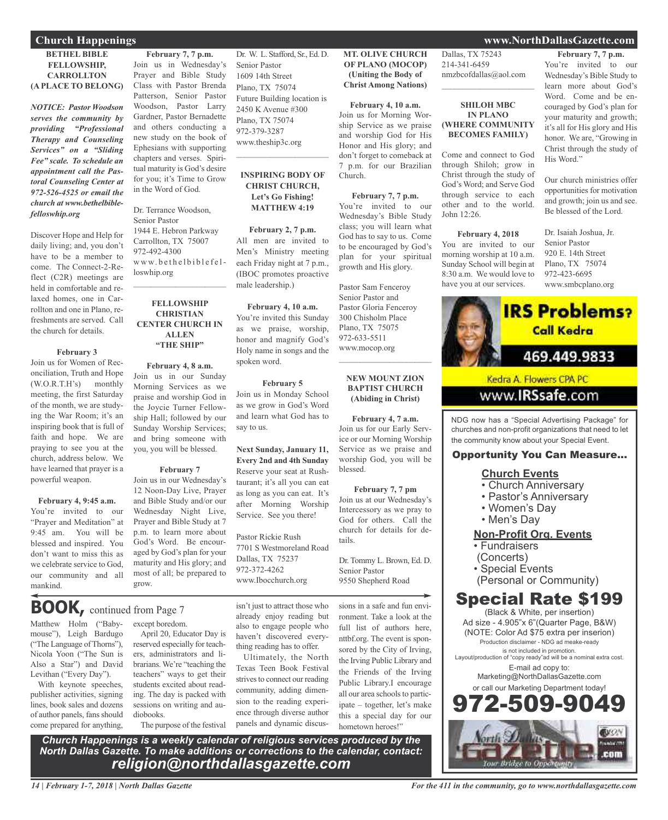#### **BETHEL BIBLE FELLOWSHIP, CARROLLTON (A PLACE TO BELONG)**

*NOTICE: Pastor Woodson serves the community by providing "Professional Therapy and Counseling Services" on a "Sliding Fee" scale. To schedule an appointment call the Pastoral Counseling Center at 972-526-4525 or email the church at www.bethelbiblefelloswhip.org*

Discover Hope and Help for daily living; and, you don't have to be a member to come. The Connect-2-Reflect (C2R) meetings are held in comfortable and relaxed homes, one in Carrollton and one in Plano, refreshments are served. Call the church for details.

#### **February 3**

Join us for Women of Reconciliation, Truth and Hope (W.O.R.T.H's) monthly meeting, the first Saturday of the month, we are studying the War Room; it's an inspiring book that is full of faith and hope. We are praying to see you at the church, address below. We have learned that prayer is a powerful weapon.

**February 4, 9:45 a.m.** You're invited to our "Prayer and Meditation" at 9:45 am. You will be blessed and inspired. You don't want to miss this as we celebrate service to God, our community and all mankind.

**February 7, 7 p.m.** Join us in Wednesday's Prayer and Bible Study Class with Pastor Brenda Patterson, Senior Pastor Woodson, Pastor Larry Gardner, Pastor Bernadette and others conducting a new study on the book of Ephesians with supporting chapters and verses. Spiritual maturity is God's desire for you; it's Time to Grow in the Word of God.

Dr. Terrance Woodson, Senior Pastor 1944 E. Hebron Parkway Carrollton, TX 75007 972-492-4300 www.bethelbiblefelloswhip.org

#### **FELLOWSHIP CHRISTIAN CENTER CHURCH IN ALLEN "THE SHIP"**

 $\mathcal{L}_\text{max}$  , which is a set of the set of the set of the set of the set of the set of the set of the set of the set of the set of the set of the set of the set of the set of the set of the set of the set of the set of

**February 4, 8 a.m.** Join us in our Sunday Morning Services as we praise and worship God in the Joycie Turner Fellowship Hall; followed by our Sunday Worship Services; and bring someone with you, you will be blessed.

#### **February 7**

Join us in our Wednesday's 12 Noon-Day Live, Prayer and Bible Study and/or our Wednesday Night Live, Prayer and Bible Study at 7 p.m. to learn more about God's Word. Be encouraged by God's plan for your maturity and His glory; and most of all; be prepared to grow.

Matthew Holm ("Baby-**BOOK,** continued from Page <sup>7</sup>

mouse"), Leigh Bardugo ("The Language of Thorns"), Nicola Yoon ("The Sun is Also a Star") and David Levithan ("Every Day").

With keynote speeches, publisher activities, signing lines, book sales and dozens of author panels, fansshould come prepared for anything,

except boredom.

April 20, Educator Day is reserved especially for teachers, administrators and librarians. We're "teaching the teachers" ways to get their students excited about reading. The day is packed with sessions on writing and audiobooks.

The purpose of the festival

*Church Happenings is a weekly calendar of religious services produced by the North Dallas Gazette. To make additions or corrections to the calendar, contact: religion@northdallasgazette.com*

isn't just to attract those who already enjoy reading but also to engage people who haven't discovered everything reading has to offer.

Ultimately, the North Texas Teen Book Festival strives to connect our reading community, adding dimension to the reading experience through diverse author panels and dynamic discus**MT. OLIVE CHURCH OF PLANO (MOCOP) (Uniting the Body of Christ Among Nations)**

Dr. W. L. Stafford, Sr., Ed. D.

Future Building location is 2450 K Avenue #300 Plano, TX 75074 972-379-3287 www.theship3c.org

 $\overline{\phantom{a}}$  , and the set of the set of the set of the set of the set of the set of the set of the set of the set of the set of the set of the set of the set of the set of the set of the set of the set of the set of the s

**INSPIRING BODY OF CHRIST CHURCH, Let's Go Fishing! MATTHEW 4:19**

**February 2, 7 p.m.** All men are invited to Men's Ministry meeting each Friday night at 7 p.m., (IBOC promotes proactive

**February 4, 10 a.m.** You're invited this Sunday as we praise, worship, honor and magnify God's Holy name in songs and the

**February 5** Join us in Monday School as we grow in God's Word and learn what God has to

**Next Sunday, January 11, Every 2nd and 4th Sunday** Reserve your seat at Rushtaurant; it's all you can eat as long as you can eat. It's after Morning Worship Service. See you there!

Pastor Rickie Rush

Dallas, TX 75237 972-372-4262 www.Ibocchurch.org

7701 S Westmoreland Road

male leadership.)

spoken word.

say to us.

Senior Pastor 1609 14th Street Plano, TX 75074

> **February 4, 10 a.m.** Join us for Morning Worship Service as we praise and worship God for His Honor and His glory; and don't forget to comeback at 7 p.m. for our Brazilian Church.

**February 7, 7 p.m.** You're invited to our Wednesday's Bible Study class; you will learn what God has to say to us. Come to be encouraged by God's plan for your spiritual growth and His glory.

Pastor Sam Fenceroy Senior Pastor and Pastor Gloria Fenceroy 300 Chisholm Place Plano, TX 75075 972-633-5511 www.mocop.org  $\mathcal{L}=\mathcal{L}^{\mathcal{L}}$  , where  $\mathcal{L}^{\mathcal{L}}$  , we have the set of the set of the set of the set of the set of the set of the set of the set of the set of the set of the set of the set of the set of the set of the set of

#### **NEW MOUNT ZION BAPTIST CHURCH (Abiding in Christ)**

**February 4, 7 a.m.** Join us for our Early Service or our Morning Worship Service as we praise and worship God, you will be blessed.

**February 7, 7 pm** Join us at our Wednesday's Intercessory as we pray to God for others. Call the church for details for details.

Dr. Tommy L. Brown, Ed. D. Senior Pastor 9550 Shepherd Road

sions in a safe and fun environment. Take a look at the full list of authors here, nttbf.org. The event is sponsored by the City of Irving, the Irving Public Library and the Friends of the Irving Public Library.I encourage all our area schools to participate – together, let's make this a special day for our hometown heroes!"

Dallas, TX 75243 214-341-6459 nmzbcofdallas@aol.com

### **SHILOH MBC IN PLANO (WHERE COMMUNITY BECOMES FAMILY)**

 $\overline{\phantom{a}}$  , and the set of the set of the set of the set of the set of the set of the set of the set of the set of the set of the set of the set of the set of the set of the set of the set of the set of the set of the s

Come and connect to God through Shiloh; grow in Christ through the study of God's Word; and Serve God through service to each other and to the world. John 12:26.

#### **February 4, 2018**

You are invited to our morning worship at 10 a.m. Sunday School will begin at 8:30 a.m. We would love to have you at our services.

You're invited to our Wednesday's Bible Study to learn more about God's Word. Come and be encouraged by God's plan for

**February 7, 7 p.m.**

your maturity and growth; it's all for His glory and His honor. We are, "Growing in Christ through the study of His Word."

Our church ministries offer opportunities for motivation and growth; join us and see. Be blessed of the Lord.

Dr. Isaiah Joshua, Jr. Senior Pastor 920 E. 14th Street Plano, TX 75074 972-423-6695 www.smbcplano.org



NDG now has a "Special Advertising Package" for churches and non-profit organizations that need to let the community know about your Special Event.

### Opportunity You Can Measure...

- **Church Events**
- Church Anniversary
- Pastor's Anniversary
- Women's Day
- Men's Day

### **Non-Profit Org. Events**

• Fundraisers

- (Concerts)
- Special Events
	- (Personal or Community)

### Special Rate \$199

(Black & White, per insertion) Ad size - 4.905"x 6"(Quarter Page, B&W) (NOTE: Color Ad \$75 extra per inserion) Production disclaimer - NDG ad meake-ready is not included in promotion. Layout/production of "copy ready"ad will be a nominal extra cost. E-mail ad copy to: Marketing@NorthDallasGazette.com or call our Marketing Department today! 2.509.90



*14 | February 1-7, 2018 | North Dallas Gazette*

### **Church Happenings www.NorthDallasGazette.com**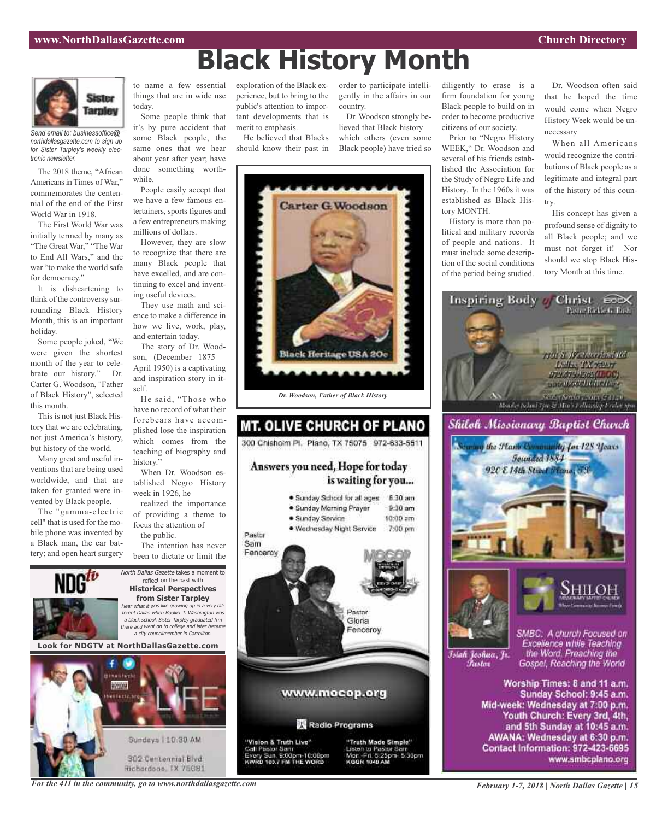

*Send email to: businessoffice@ northdallasgazette.com to sign up for Sister Tarpley's weekly electronic newsletter.*

The 2018 theme, "African Americans in Times of War," commemorates the centennial of the end of the First World War in 1918.

The First World War was initially termed by many as "The Great War," "The War to End All Wars," and the war "to make the world safe for democracy."

It is disheartening to think of the controversy surrounding Black History Month, this is an important holiday.

Some people joked, "We were given the shortest month of the year to celebrate our history." Dr. Carter G. Woodson, "Father of Black History", selected this month.

This is not just Black History that we are celebrating, not just America's history, but history of the world.

Many great and useful inventions that are being used worldwide, and that are taken for granted were invented by Black people.

The "gamma-electric cell" that is used for the mobile phone was invented by a Black man, the car battery; and open heart surgery

to name a few essential things that are in wide use today.

Some people think that it's by pure accident that some Black people, the same ones that we hear about year after year; have done something worthwhile.

People easily accept that we have a few famous entertainers, sports figures and a few entrepreneurs making millions of dollars.

However, they are slow to recognize that there are many Black people that have excelled, and are continuing to excel and inventing useful devices.

They use math and science to make a difference in how we live, work, play, and entertain today.

The story of Dr. Woodson, (December 1875 – April 1950) is a captivating and inspiration story in itself.

He said, "Those who have no record of what their forebears have accomplished lose the inspiration which comes from the teaching of biography and history."

When Dr. Woodson established Negro History week in 1926, he

realized the importance of providing a theme to focus the attention of the public.

The intention has never been to dictate or limit the

North Dallas Gazette takes a moment to reflect on the past with **Historical Perspectives from Sister Tarpley** Hear what it was like growing up in <sup>a</sup> very different Dallas when Booker T. Washington was <sup>a</sup> black school. Sister Tarpley graduated frm there and went on to college and later became <sup>a</sup> city councilmember in Carrollton.

**Look for NDGTV at NorthDallasGazette.com**



exploration of the Black experience, but to bring to the public's attention to important developments that is merit to emphasis.

He believed that Blacks should know their past in

order to participate intelligently in the affairs in our country.

Dr. Woodson strongly believed that Black history which others (even some Black people) have tried so



Prior to "Negro History WEEK," Dr. Woodson and several of his friends established the Association for the Study of Negro Life and History. In the 1960s it was established as Black History MONTH.

History is more than political and military records of people and nations. It must include some description of the social conditions of the period being studied.

Dr. Woodson often said that he hoped the time would come when Negro History Week would be unnecessary

When all Americans would recognize the contributions of Black people as a legitimate and integral part of the history of this country.

His concept has given a profound sense of dignity to all Black people; and we must not forget it! Nor should we stop Black History Month at this time.





**Black History Month**

*Dr. Woodson, Father of Black History*

### **MT. OLIVE CHURCH OF PLANO** 300 Chishoim Pl. Plano, TX 75075 972-633-5511

### Answers you need, Hope for today is waiting for you...



8:30 am

*For the 411 in the community, go to www.northdallasgazette.com*

Contact Information: 972-423-6695

www.smbcplano.org